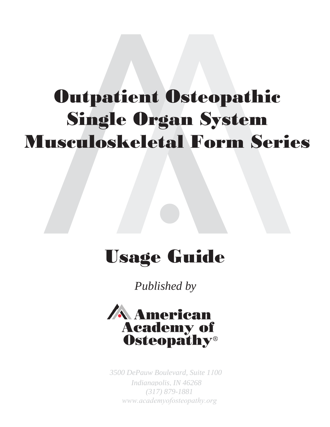# Outpatient Osteopathic Single Organ System Musculoskeletal Form Series

# Usage Guide

*Published by* 



*3500 DePauw Boulevard, Suite 100 (317) 879-1881 www.academyofosteopathy.org Indianapolis, IN 46268*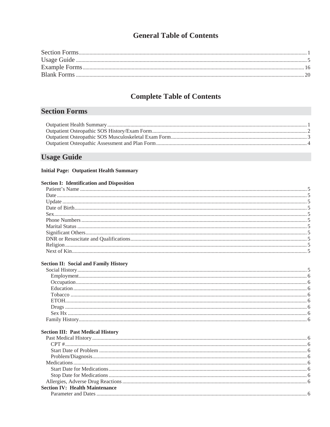## **General Table of Contents**

## **Complete Table of Contents**

## **Section Forms**

### **Usage Guide**

### **Initial Page: Outpatient Health Summary**

#### **Section I: Identification and Disposition**

#### **Section II: Social and Family History**

#### **Section III: Past Medical History**

| <b>Section IV: Health Maintenance</b> |  |
|---------------------------------------|--|
|                                       |  |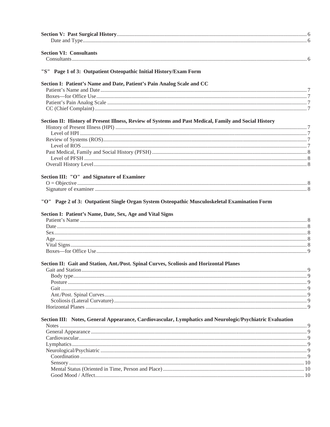| <b>Section VI: Consultants</b>                                                                                                                            |  |
|-----------------------------------------------------------------------------------------------------------------------------------------------------------|--|
|                                                                                                                                                           |  |
| "S" Page 1 of 3: Outpatient Osteopathic Initial History/Exam Form                                                                                         |  |
| Section I: Patient's Name and Date, Patient's Pain Analog Scale and CC                                                                                    |  |
|                                                                                                                                                           |  |
|                                                                                                                                                           |  |
|                                                                                                                                                           |  |
|                                                                                                                                                           |  |
| Section II: History of Present Illness, Review of Systems and Past Medical, Family and Social History                                                     |  |
|                                                                                                                                                           |  |
|                                                                                                                                                           |  |
|                                                                                                                                                           |  |
|                                                                                                                                                           |  |
|                                                                                                                                                           |  |
|                                                                                                                                                           |  |
|                                                                                                                                                           |  |
| Section III: "O" and Signature of Examiner                                                                                                                |  |
|                                                                                                                                                           |  |
|                                                                                                                                                           |  |
| "O" Page 2 of 3: Outpatient Single Organ System Osteopathic Musculoskeletal Examination Form<br>Section I: Patient's Name, Date, Sex, Age and Vital Signs |  |
|                                                                                                                                                           |  |
|                                                                                                                                                           |  |
|                                                                                                                                                           |  |
|                                                                                                                                                           |  |
|                                                                                                                                                           |  |
| Section II: Gait and Station, Ant./Post. Spinal Curves, Scoliosis and Horizontal Planes                                                                   |  |
|                                                                                                                                                           |  |
|                                                                                                                                                           |  |
|                                                                                                                                                           |  |
|                                                                                                                                                           |  |
|                                                                                                                                                           |  |
|                                                                                                                                                           |  |
| Section III: Notes, General Appearance, Cardiovascular, Lymphatics and Neurologic/Psychiatric Evaluation                                                  |  |
|                                                                                                                                                           |  |
|                                                                                                                                                           |  |
|                                                                                                                                                           |  |
|                                                                                                                                                           |  |
|                                                                                                                                                           |  |
|                                                                                                                                                           |  |
|                                                                                                                                                           |  |
|                                                                                                                                                           |  |
|                                                                                                                                                           |  |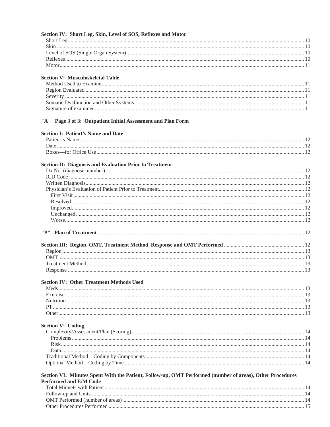| "A" Page 3 of 3: Outpatient Initial Assessment and Plan Form                                                                                                                                                                                                                                                                                      | Section IV: Short Leg, Skin, Level of SOS, Reflexes and Motor |  |
|---------------------------------------------------------------------------------------------------------------------------------------------------------------------------------------------------------------------------------------------------------------------------------------------------------------------------------------------------|---------------------------------------------------------------|--|
|                                                                                                                                                                                                                                                                                                                                                   |                                                               |  |
|                                                                                                                                                                                                                                                                                                                                                   |                                                               |  |
|                                                                                                                                                                                                                                                                                                                                                   |                                                               |  |
| <b>Section V: Musculoskeletal Table</b><br><b>Section I: Patient's Name and Date</b><br><b>Section II: Diagnosis and Evaluation Prior to Treatment</b><br><b>Section IV: Other Treatment Methods Used</b><br><b>Section V: Coding</b><br>Section VI: Minutes Spent With the Patient, Follow-up, OMT Performed (number of areas), Other Procedures |                                                               |  |
|                                                                                                                                                                                                                                                                                                                                                   |                                                               |  |
|                                                                                                                                                                                                                                                                                                                                                   |                                                               |  |
|                                                                                                                                                                                                                                                                                                                                                   |                                                               |  |
|                                                                                                                                                                                                                                                                                                                                                   |                                                               |  |
|                                                                                                                                                                                                                                                                                                                                                   |                                                               |  |
|                                                                                                                                                                                                                                                                                                                                                   |                                                               |  |
|                                                                                                                                                                                                                                                                                                                                                   |                                                               |  |
|                                                                                                                                                                                                                                                                                                                                                   |                                                               |  |
|                                                                                                                                                                                                                                                                                                                                                   |                                                               |  |
|                                                                                                                                                                                                                                                                                                                                                   |                                                               |  |
|                                                                                                                                                                                                                                                                                                                                                   |                                                               |  |
|                                                                                                                                                                                                                                                                                                                                                   |                                                               |  |
|                                                                                                                                                                                                                                                                                                                                                   |                                                               |  |
|                                                                                                                                                                                                                                                                                                                                                   |                                                               |  |
|                                                                                                                                                                                                                                                                                                                                                   |                                                               |  |
|                                                                                                                                                                                                                                                                                                                                                   |                                                               |  |
|                                                                                                                                                                                                                                                                                                                                                   |                                                               |  |
|                                                                                                                                                                                                                                                                                                                                                   |                                                               |  |
|                                                                                                                                                                                                                                                                                                                                                   |                                                               |  |
|                                                                                                                                                                                                                                                                                                                                                   |                                                               |  |
|                                                                                                                                                                                                                                                                                                                                                   |                                                               |  |
|                                                                                                                                                                                                                                                                                                                                                   |                                                               |  |
|                                                                                                                                                                                                                                                                                                                                                   |                                                               |  |
|                                                                                                                                                                                                                                                                                                                                                   |                                                               |  |
|                                                                                                                                                                                                                                                                                                                                                   |                                                               |  |
|                                                                                                                                                                                                                                                                                                                                                   |                                                               |  |
|                                                                                                                                                                                                                                                                                                                                                   |                                                               |  |
|                                                                                                                                                                                                                                                                                                                                                   |                                                               |  |
|                                                                                                                                                                                                                                                                                                                                                   |                                                               |  |
|                                                                                                                                                                                                                                                                                                                                                   |                                                               |  |
|                                                                                                                                                                                                                                                                                                                                                   |                                                               |  |
|                                                                                                                                                                                                                                                                                                                                                   |                                                               |  |
|                                                                                                                                                                                                                                                                                                                                                   |                                                               |  |
|                                                                                                                                                                                                                                                                                                                                                   |                                                               |  |
|                                                                                                                                                                                                                                                                                                                                                   |                                                               |  |
|                                                                                                                                                                                                                                                                                                                                                   |                                                               |  |
|                                                                                                                                                                                                                                                                                                                                                   |                                                               |  |
|                                                                                                                                                                                                                                                                                                                                                   |                                                               |  |
|                                                                                                                                                                                                                                                                                                                                                   |                                                               |  |
|                                                                                                                                                                                                                                                                                                                                                   |                                                               |  |
|                                                                                                                                                                                                                                                                                                                                                   |                                                               |  |
|                                                                                                                                                                                                                                                                                                                                                   |                                                               |  |
|                                                                                                                                                                                                                                                                                                                                                   |                                                               |  |
|                                                                                                                                                                                                                                                                                                                                                   |                                                               |  |
|                                                                                                                                                                                                                                                                                                                                                   |                                                               |  |
|                                                                                                                                                                                                                                                                                                                                                   |                                                               |  |
|                                                                                                                                                                                                                                                                                                                                                   | <b>Performed and E/M Code</b>                                 |  |
|                                                                                                                                                                                                                                                                                                                                                   |                                                               |  |
|                                                                                                                                                                                                                                                                                                                                                   |                                                               |  |
|                                                                                                                                                                                                                                                                                                                                                   |                                                               |  |
|                                                                                                                                                                                                                                                                                                                                                   |                                                               |  |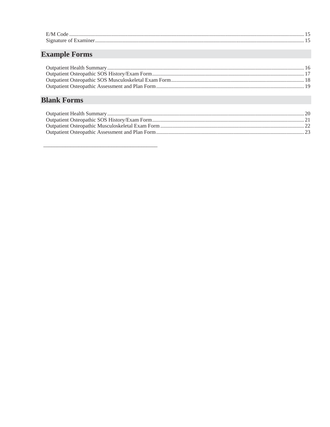| $F/M$ Cod |  |
|-----------|--|
| $\sim$    |  |

# **Example Forms**

# **Blank Forms**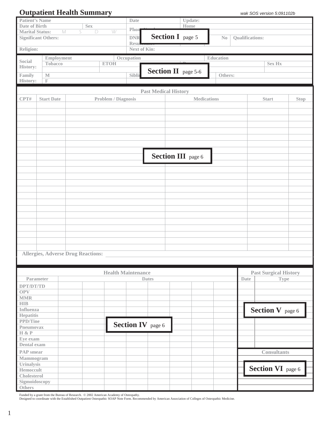## **Outpatient Health Summary** *wak SOS version 5:091102b*

| <b>Patient's Name</b>                                               |                   |                                           |                            | Date                |                             | Update:                    |                    |                        |                              |      |  |
|---------------------------------------------------------------------|-------------------|-------------------------------------------|----------------------------|---------------------|-----------------------------|----------------------------|--------------------|------------------------|------------------------------|------|--|
| Date of Birth                                                       |                   | <b>Sex</b>                                |                            |                     |                             | Home                       |                    |                        |                              |      |  |
| Phon<br><b>Marital Status:</b><br>${\mathbb M}$<br>S<br>$\Box$<br>W |                   |                                           |                            |                     |                             |                            |                    |                        |                              |      |  |
| <b>DNR</b><br><b>Significant Others:</b>                            |                   |                                           |                            |                     |                             | <b>Section I</b> page 5    | No                 | <b>Qualifications:</b> |                              |      |  |
|                                                                     |                   |                                           |                            | <b>Resu</b>         |                             |                            |                    |                        |                              |      |  |
| Religion:                                                           |                   |                                           |                            | <b>Next of Kin:</b> |                             |                            |                    |                        |                              |      |  |
|                                                                     |                   |                                           |                            |                     |                             |                            | <b>Education</b>   |                        |                              |      |  |
| Social                                                              | Tobacco           | Employment                                | <b>ETOH</b>                | Occupation          |                             |                            |                    |                        | <b>Sex Hx</b>                |      |  |
| History:                                                            |                   |                                           |                            |                     |                             |                            |                    |                        |                              |      |  |
| Family                                                              | $\mathbb M$       |                                           |                            | Sibli               |                             | <b>Section II</b> page 5-6 | Others:            |                        |                              |      |  |
| History:                                                            | $\mathbb F$       |                                           |                            |                     |                             |                            |                    |                        |                              |      |  |
|                                                                     |                   |                                           |                            |                     |                             |                            |                    |                        |                              |      |  |
|                                                                     |                   |                                           |                            |                     | <b>Past Medical History</b> |                            |                    |                        |                              |      |  |
| CPT#                                                                | <b>Start Date</b> |                                           | <b>Problem / Diagnosis</b> |                     |                             |                            | <b>Medications</b> |                        | <b>Start</b>                 | Stop |  |
|                                                                     |                   |                                           |                            |                     |                             |                            |                    |                        |                              |      |  |
|                                                                     |                   |                                           |                            |                     |                             |                            |                    |                        |                              |      |  |
|                                                                     |                   |                                           |                            |                     |                             |                            |                    |                        |                              |      |  |
|                                                                     |                   |                                           |                            |                     |                             |                            |                    |                        |                              |      |  |
|                                                                     |                   |                                           |                            |                     |                             |                            |                    |                        |                              |      |  |
|                                                                     |                   |                                           |                            |                     |                             |                            |                    |                        |                              |      |  |
|                                                                     |                   |                                           |                            |                     |                             |                            |                    |                        |                              |      |  |
|                                                                     |                   |                                           |                            |                     |                             |                            |                    |                        |                              |      |  |
|                                                                     |                   |                                           |                            |                     |                             |                            |                    |                        |                              |      |  |
|                                                                     |                   |                                           |                            |                     |                             | <b>Section III</b> page 6  |                    |                        |                              |      |  |
|                                                                     |                   |                                           |                            |                     |                             |                            |                    |                        |                              |      |  |
|                                                                     |                   |                                           |                            |                     |                             |                            |                    |                        |                              |      |  |
|                                                                     |                   |                                           |                            |                     |                             |                            |                    |                        |                              |      |  |
|                                                                     |                   |                                           |                            |                     |                             |                            |                    |                        |                              |      |  |
|                                                                     |                   |                                           |                            |                     |                             |                            |                    |                        |                              |      |  |
|                                                                     |                   |                                           |                            |                     |                             |                            |                    |                        |                              |      |  |
|                                                                     |                   |                                           |                            |                     |                             |                            |                    |                        |                              |      |  |
|                                                                     |                   |                                           |                            |                     |                             |                            |                    |                        |                              |      |  |
|                                                                     |                   |                                           |                            |                     |                             |                            |                    |                        |                              |      |  |
|                                                                     |                   |                                           |                            |                     |                             |                            |                    |                        |                              |      |  |
|                                                                     |                   |                                           |                            |                     |                             |                            |                    |                        |                              |      |  |
|                                                                     |                   |                                           |                            |                     |                             |                            |                    |                        |                              |      |  |
|                                                                     |                   |                                           |                            |                     |                             |                            |                    |                        |                              |      |  |
|                                                                     |                   |                                           |                            |                     |                             |                            |                    |                        |                              |      |  |
|                                                                     |                   |                                           |                            |                     |                             |                            |                    |                        |                              |      |  |
|                                                                     |                   |                                           |                            |                     |                             |                            |                    |                        |                              |      |  |
|                                                                     |                   | <b>Allergies, Adverse Drug Reactions:</b> |                            |                     |                             |                            |                    |                        |                              |      |  |
|                                                                     |                   |                                           |                            |                     |                             |                            |                    |                        |                              |      |  |
|                                                                     |                   |                                           |                            |                     |                             |                            |                    |                        |                              |      |  |
|                                                                     |                   |                                           | <b>Health Maintenance</b>  |                     |                             |                            |                    |                        | <b>Past Surgical History</b> |      |  |
|                                                                     | Parameter         |                                           |                            |                     | <b>Dates</b>                |                            |                    | Date                   | <b>Type</b>                  |      |  |
| DPT/DT/TD                                                           |                   |                                           |                            |                     |                             |                            |                    |                        |                              |      |  |
| <b>OPV</b>                                                          |                   |                                           |                            |                     |                             |                            |                    |                        |                              |      |  |
| MMR                                                                 |                   |                                           |                            |                     |                             |                            |                    |                        |                              |      |  |
| <b>HIB</b>                                                          |                   |                                           |                            |                     |                             |                            |                    |                        |                              |      |  |
| <b>Influenza</b>                                                    |                   |                                           |                            |                     |                             |                            |                    |                        | <b>Section V</b> page 6      |      |  |
| <b>Hepatitis</b>                                                    |                   |                                           |                            |                     |                             |                            |                    |                        |                              |      |  |
| <b>PPD/Tine</b>                                                     |                   | <b>Section IV</b> page 6                  |                            |                     |                             |                            |                    |                        |                              |      |  |
| Pneumovax                                                           |                   |                                           |                            |                     |                             |                            |                    |                        |                              |      |  |
| $\mathbb H$ & $\mathbb P$                                           |                   |                                           |                            |                     |                             |                            |                    |                        |                              |      |  |
| Eye exam                                                            |                   |                                           |                            |                     |                             |                            |                    |                        |                              |      |  |
| Dental exam                                                         |                   |                                           |                            |                     |                             |                            |                    |                        |                              |      |  |
| <b>PAP</b> smear                                                    |                   |                                           |                            |                     |                             |                            |                    |                        | <b>Consultants</b>           |      |  |
| Mammogram                                                           |                   |                                           |                            |                     |                             |                            |                    |                        |                              |      |  |
| Urinalysis                                                          |                   |                                           |                            |                     |                             |                            |                    |                        |                              |      |  |
| Hemoccult                                                           |                   |                                           |                            |                     |                             |                            |                    |                        | <b>Section VI</b> page 6     |      |  |
| Cholesterol                                                         |                   |                                           |                            |                     |                             |                            |                    |                        |                              |      |  |
| Sigmoidoscopy                                                       |                   |                                           |                            |                     |                             |                            |                    |                        |                              |      |  |
| Others                                                              |                   |                                           |                            |                     |                             |                            |                    |                        |                              |      |  |

Funded by a grant from the Bureau of Research. © 2002 American Academy of Osteopathy.<br>Designed to coordinate with the Established Outpatient Osteopathic SOAP Note Form. Recommended by American Association of Colleges of Os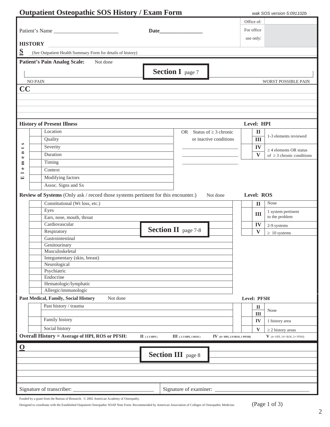|                         | <b>Outpatient Osteopathic SOS History / Exam Form</b>                             |                                                                            |                   | wak SOS version 5:091102b                                     |
|-------------------------|-----------------------------------------------------------------------------------|----------------------------------------------------------------------------|-------------------|---------------------------------------------------------------|
|                         |                                                                                   |                                                                            | Office of:        |                                                               |
|                         | Patient's Name                                                                    |                                                                            | For office        |                                                               |
|                         |                                                                                   | Date                                                                       |                   |                                                               |
|                         | <b>HISTORY</b>                                                                    |                                                                            | use only:         |                                                               |
| $\overline{\mathbf{S}}$ | (See Outpatient Health Summary Form for details of history)                       |                                                                            |                   |                                                               |
|                         |                                                                                   |                                                                            |                   |                                                               |
|                         | <b>Patient's Pain Analog Scale:</b><br>Not done                                   |                                                                            |                   |                                                               |
|                         |                                                                                   | <b>Section I</b> page 7                                                    |                   |                                                               |
|                         | <b>NO PAIN</b>                                                                    |                                                                            |                   | WORST POSSIBLE PAIN                                           |
| CC                      |                                                                                   |                                                                            |                   |                                                               |
|                         |                                                                                   |                                                                            |                   |                                                               |
|                         |                                                                                   |                                                                            |                   |                                                               |
|                         |                                                                                   |                                                                            |                   |                                                               |
|                         |                                                                                   |                                                                            |                   |                                                               |
|                         | <b>History of Present Illness</b>                                                 |                                                                            | Level: HPI        |                                                               |
|                         | Location                                                                          | OR Status of $\geq$ 3 chronic                                              | $\mathbf{I}$      |                                                               |
|                         | Quality                                                                           | or inactive conditions                                                     | III               | 1-3 elements reviewed                                         |
| S<br>٠                  | Severity                                                                          |                                                                            | IV                |                                                               |
| E                       | Duration                                                                          |                                                                            | V                 | $\geq$ 4 elements OR status<br>of $\geq$ 3 chronic conditions |
| $\bullet$<br>E          | Timing                                                                            |                                                                            |                   |                                                               |
| $\bullet$               | Context                                                                           |                                                                            |                   |                                                               |
| 덕                       | Modifying factors                                                                 |                                                                            |                   |                                                               |
|                         | Assoc. Signs and Sx                                                               |                                                                            |                   |                                                               |
|                         |                                                                                   |                                                                            |                   |                                                               |
|                         | Review of Systems (Only ask / record those systems pertinent for this encounter.) | Not done                                                                   | <b>Level: ROS</b> |                                                               |
|                         | Constitutional (Wt loss, etc.)                                                    |                                                                            | $\mathbf{I}$      | None                                                          |
|                         | Eyes                                                                              |                                                                            | III               | 1 system pertinent                                            |
|                         | Ears, nose, mouth, throat                                                         |                                                                            |                   | to the problem                                                |
|                         | Cardiovascular                                                                    | <b>Section II</b> page 7-8                                                 | IV                | 2-9 systems                                                   |
|                         | Respiratory                                                                       |                                                                            | V                 | $\geq 10$ systems                                             |
|                         | Gastrointestinal                                                                  |                                                                            |                   |                                                               |
|                         | Genitourinary<br>Musculoskeletal                                                  |                                                                            |                   |                                                               |
|                         | Integumentary (skin, breast)                                                      |                                                                            |                   |                                                               |
|                         | Neurological                                                                      |                                                                            |                   |                                                               |
|                         | Psychiatric                                                                       |                                                                            |                   |                                                               |
|                         | Endocrine                                                                         |                                                                            |                   |                                                               |
|                         | Hematologic/lymphatic                                                             |                                                                            |                   |                                                               |
|                         | Allergic/immunologic                                                              |                                                                            |                   |                                                               |
|                         | Past Medical, Family, Social History<br>Not done                                  |                                                                            | Level: PFSH       |                                                               |
|                         | Past history / trauma                                                             |                                                                            | $\mathbf{I}$      | None                                                          |
|                         |                                                                                   |                                                                            | III               |                                                               |
|                         | Family history                                                                    |                                                                            | IV                | 1 history area                                                |
|                         | Social history                                                                    |                                                                            | $\mathbf{V}$      | $\geq$ 2 history areas                                        |
|                         | <b>Overall History = Average of HPI, ROS or PFSH:</b>                             | $II$ (1-3 HPI)<br>$III$ (1-3 HPI, 1 ROS)<br>IV $(4+ HPI, 2-9$ ROS, 1 PFSH) |                   | $V$ (4+ HPI, 10+ ROS, 2+ PFSH)                                |
| $\mathbf 0$             |                                                                                   |                                                                            |                   |                                                               |
|                         |                                                                                   | <b>Section III</b> page 8                                                  |                   |                                                               |
|                         |                                                                                   |                                                                            |                   |                                                               |
|                         |                                                                                   |                                                                            |                   |                                                               |
|                         |                                                                                   |                                                                            |                   |                                                               |
|                         |                                                                                   |                                                                            |                   |                                                               |
|                         | Signature of transcriber:                                                         | Signature of examiner:                                                     |                   |                                                               |

| Funded by a grant from the Bureau of Research. © 2002 American Academy of Osteopathy. |  |  |
|---------------------------------------------------------------------------------------|--|--|
|---------------------------------------------------------------------------------------|--|--|

Designed to coordinate with the Established Outpatient Osteopathic SOAP Note Form. Recommended by American Association of Colleges of Osteopathic Medicine. (Page 1 of 3)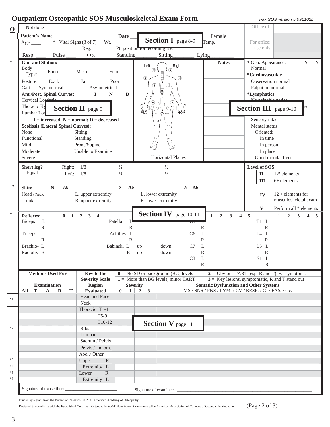# **Outpatient Osteopathic SOS Musculoskeletal Exam Form** *wak SOS version 5:091102b*

| $\overline{\mathbf{0}}$ |                       | Not done                         |                    |                           |           |                                            |               |                 |                                |                                                                       |                |                                                       |                         |   | Office of:          |                                                         |
|-------------------------|-----------------------|----------------------------------|--------------------|---------------------------|-----------|--------------------------------------------|---------------|-----------------|--------------------------------|-----------------------------------------------------------------------|----------------|-------------------------------------------------------|-------------------------|---|---------------------|---------------------------------------------------------|
|                         |                       | <b>Patient's Name</b>            |                    |                           |           | <u> 1989 - Johann Barbara, martin a</u>    |               | Date_           |                                |                                                                       |                | Female                                                |                         |   |                     |                                                         |
|                         | $Age$ <sub>____</sub> |                                  |                    |                           |           | * Vital Signs (3 of 7)                     | Wt.           |                 |                                | <b>Section I</b> page 8-9                                             |                | Temp.                                                 |                         |   | For office:         |                                                         |
|                         |                       |                                  |                    |                           |           | Reg.                                       |               |                 |                                | Pt. position for recording DP.                                        |                |                                                       |                         |   | use only            |                                                         |
|                         | Resp.                 |                                  |                    | Pulse                     |           | Irreg.                                     |               | <b>Standing</b> |                                | <b>Sitting</b>                                                        |                | Lying                                                 |                         |   |                     |                                                         |
| $\ast$                  |                       | <b>Gait and Station:</b>         |                    |                           |           |                                            |               |                 |                                |                                                                       |                | <b>Notes</b>                                          |                         |   |                     | * Gen. Appearance:<br>$\mathbf{Y}$<br>$\mathbf N$       |
|                         | <b>Body</b>           |                                  |                    |                           |           |                                            |               |                 | Left                           | ₩                                                                     | Right          |                                                       |                         |   | Normal              |                                                         |
|                         | Type:                 |                                  | Endo.              |                           |           | Meso.                                      | Ecto.         |                 |                                |                                                                       |                |                                                       |                         |   | *Cardiovascular     |                                                         |
|                         | Posture:              |                                  |                    | Excl.                     |           | Fair                                       | Poor          |                 | $^{\circ}$                     |                                                                       | ⊕              |                                                       |                         |   |                     | Observation normal                                      |
|                         | Gait:                 |                                  | Symmetrical        |                           |           | Asymmetrical                               |               |                 |                                | -⊕<br>⊕                                                               |                |                                                       |                         |   | Palpation normal    |                                                         |
|                         |                       | <b>Ant./Post. Spinal Curves:</b> |                    |                           |           | $\mathbf{I}$<br>$\mathbf N$                |               | D               |                                | $\begin{array}{r} \n 10 \\  \hline\n 12 \\  \hline\n 2\n \end{array}$ |                |                                                       |                         |   | *Lymphatics         |                                                         |
|                         |                       | Cervical Lordonic                |                    |                           |           |                                            |               |                 |                                |                                                                       |                |                                                       |                         |   |                     | No nologhla nodge                                       |
|                         |                       | Thoracic Ky                      |                    |                           |           | <b>Section II</b> page 9                   |               |                 |                                | $\overline{\mathbb{R}}$                                               |                |                                                       |                         |   |                     | <b>Section III</b> page 9-10                            |
|                         |                       | Lumbar Lor                       |                    |                           |           |                                            |               |                 | UW                             |                                                                       | uir            |                                                       |                         |   |                     |                                                         |
|                         |                       |                                  |                    |                           |           | $I = increased; N = normal; D = decreased$ |               |                 |                                |                                                                       |                |                                                       |                         |   | Sensory intact      |                                                         |
|                         |                       |                                  |                    |                           |           | <b>Scoliosis (Lateral Spinal Curves):</b>  |               |                 |                                |                                                                       |                |                                                       |                         |   | Mental status       |                                                         |
|                         | None                  |                                  |                    |                           |           | Sitting                                    |               |                 |                                |                                                                       |                |                                                       |                         |   | Oriented:           |                                                         |
|                         |                       | Functional                       |                    |                           |           | Standing                                   |               |                 |                                |                                                                       |                |                                                       |                         |   | In time             |                                                         |
|                         | Mild                  |                                  |                    |                           |           | Prone/Supine                               |               |                 |                                |                                                                       |                |                                                       |                         |   | In person           |                                                         |
|                         | Moderate              |                                  |                    |                           |           | Unable to Examine                          |               |                 |                                |                                                                       |                |                                                       |                         |   | In place            |                                                         |
|                         | Severe                |                                  |                    |                           |           |                                            |               |                 |                                | <b>Horizontal Planes</b>                                              |                |                                                       |                         |   |                     | Good mood/ affect                                       |
|                         |                       |                                  |                    |                           |           |                                            |               |                 |                                |                                                                       |                |                                                       |                         |   |                     |                                                         |
|                         |                       | Short leg?<br>Equal              |                    |                           | Right:    | 1/8                                        | $\frac{1}{4}$ |                 |                                | $1/2$                                                                 |                |                                                       |                         |   | <b>Level of SOS</b> |                                                         |
|                         |                       |                                  |                    |                           | Left:     | 1/8                                        | $\frac{1}{4}$ |                 |                                | $\frac{1}{2}$                                                         |                |                                                       |                         |   | $\mathbf{I}$        | 1-5 elements                                            |
| ∗                       |                       |                                  |                    |                           |           |                                            |               |                 |                                |                                                                       |                |                                                       |                         |   | III                 | 6+ elements                                             |
|                         | Skin:                 |                                  | $\mathbb N$        |                           | Ab        |                                            | N             | A <sub>b</sub>  |                                |                                                                       | $N$ Ab         |                                                       |                         |   |                     |                                                         |
|                         |                       | Head / neck                      |                    |                           |           | L. upper extremity                         |               |                 |                                | L. lower extremity                                                    |                |                                                       |                         |   | IV                  | $12 +$ elements for                                     |
|                         | Trunk                 |                                  |                    |                           |           | R. upper extremity                         |               |                 |                                | R. lower extremity                                                    |                |                                                       |                         |   |                     | musculoskeletal exam                                    |
|                         |                       |                                  |                    |                           |           |                                            |               |                 |                                |                                                                       |                |                                                       |                         |   | $\mathbf{V}$        | Perform all * elements                                  |
| $\ast$                  | <b>Reflexes:</b>      |                                  |                    | $\mathbf{0}$              |           | $1 \quad 2 \quad 3 \quad 4$                |               |                 |                                | <b>Section IV</b> page 10-11                                          |                | $\overline{2}$<br>$\mathbf{1}$<br>$\mathbf{3}$        | $\overline{\mathbf{4}}$ | 5 |                     | $\mathbf{1}$<br>$\overline{2}$<br>3<br>$\boldsymbol{4}$ |
|                         | <b>Biceps</b>         | L                                |                    |                           |           |                                            | Patella       | L               |                                |                                                                       |                |                                                       |                         |   | $T1$ L              |                                                         |
|                         |                       | ${\bf R}$                        |                    |                           |           |                                            |               | $\mathbb{R}$    |                                |                                                                       |                | R                                                     |                         |   | R                   |                                                         |
|                         | Triceps               | $\mathbf{L}$                     |                    |                           |           |                                            | Achilles L    |                 |                                |                                                                       | C <sub>6</sub> | L                                                     |                         |   | L4L                 |                                                         |
|                         |                       | $\mathbb{R}$                     |                    |                           |           |                                            |               | $\mathbb{R}$    |                                |                                                                       |                | R                                                     |                         |   | $\mathbb{R}$        |                                                         |
|                         |                       | Brachio-L                        |                    |                           |           |                                            | Babinski L    |                 | up                             | down                                                                  | C7             | L                                                     |                         |   | L5 L                |                                                         |
|                         |                       | Radialis R                       |                    |                           |           |                                            |               | R               | up                             | down                                                                  |                | R                                                     |                         |   | $\mathbb{R}$        |                                                         |
|                         |                       |                                  |                    |                           |           |                                            |               |                 |                                |                                                                       | C8             | L                                                     |                         |   | $S1$ L              |                                                         |
|                         |                       |                                  |                    |                           |           |                                            |               |                 |                                |                                                                       |                | $\mathbb{R}$                                          |                         |   | R                   |                                                         |
|                         |                       | <b>Methods Used For</b>          |                    |                           |           | Key to the                                 |               |                 |                                | $0 = No SD$ or background (BG) levels                                 |                |                                                       |                         |   |                     | $2 =$ Obvious TART (esp. R and T), +/- symptoms         |
|                         |                       |                                  |                    |                           |           | <b>Severity Scale</b>                      |               |                 |                                | $1 =$ More than BG levels, minor TART                                 |                |                                                       |                         |   |                     | $3 =$ Key lesions, symptomatic, R and T stand out       |
|                         |                       |                                  | <b>Examination</b> |                           |           | Region                                     |               |                 | <b>Severity</b>                |                                                                       |                | <b>Somatic Dysfunction and Other Systems</b>          |                         |   |                     |                                                         |
|                         | All                   | T                                | $\mathbf A$        | $\mathbf R$               | ${\bf T}$ | <b>Evaluated</b>                           | $\mathbf{0}$  | $\mathbf{1}$    | $\mathbf{3}$<br>$\overline{2}$ |                                                                       |                | MS / SNS / PNS / LYM. / CV / RESP. / GI / FAS. / etc. |                         |   |                     |                                                         |
| $*1$                    |                       |                                  |                    |                           |           | Head and Face                              |               |                 |                                |                                                                       |                |                                                       |                         |   |                     |                                                         |
|                         |                       |                                  |                    |                           |           | Neck                                       |               |                 |                                |                                                                       |                |                                                       |                         |   |                     |                                                         |
|                         |                       |                                  |                    |                           |           | Thoracic T1-4                              |               |                 |                                |                                                                       |                |                                                       |                         |   |                     |                                                         |
|                         |                       |                                  |                    |                           |           | $T5-9$                                     |               |                 |                                |                                                                       |                |                                                       |                         |   |                     |                                                         |
| $*2$                    |                       |                                  |                    |                           |           | T10-12                                     |               |                 |                                | <b>Section V</b> page 11                                              |                |                                                       |                         |   |                     |                                                         |
|                         |                       |                                  |                    |                           |           | Ribs                                       |               |                 |                                |                                                                       |                |                                                       |                         |   |                     |                                                         |
|                         |                       |                                  |                    |                           |           | Lumbar                                     |               |                 |                                |                                                                       |                |                                                       |                         |   |                     |                                                         |
|                         |                       |                                  |                    |                           |           | Sacrum / Pelvis                            |               |                 |                                |                                                                       |                |                                                       |                         |   |                     |                                                         |
|                         |                       |                                  |                    |                           |           | Pelvis / Innom.                            |               |                 |                                |                                                                       |                |                                                       |                         |   |                     |                                                         |
|                         |                       |                                  |                    |                           |           | Abd ./ Other                               |               |                 |                                |                                                                       |                |                                                       |                         |   |                     |                                                         |
| $*3$                    |                       |                                  |                    |                           |           | Upper<br>$\mathbb{R}$                      |               |                 |                                |                                                                       |                |                                                       |                         |   |                     |                                                         |
| $*4$                    |                       |                                  |                    |                           |           | Extremity L                                |               |                 |                                |                                                                       |                |                                                       |                         |   |                     |                                                         |
| $*5$                    |                       |                                  |                    |                           |           | Lower<br>$\mathbb{R}$                      |               |                 |                                |                                                                       |                |                                                       |                         |   |                     |                                                         |
| $*6$                    |                       |                                  |                    |                           |           | Extremity L                                |               |                 |                                |                                                                       |                |                                                       |                         |   |                     |                                                         |
|                         |                       |                                  |                    | Signature of transcriber: |           |                                            |               |                 |                                | Signature of examiner: _                                              |                |                                                       |                         |   |                     |                                                         |

Funded by a grant from the Bureau of Research. © 2002 American Academy of Osteopathy.

Designed to coordinate with the Established Outpatient Osteopathic SOAP Note Form. Recommended by American Association of Colleges of Osteopathic Medicine. (Page 2 of 3)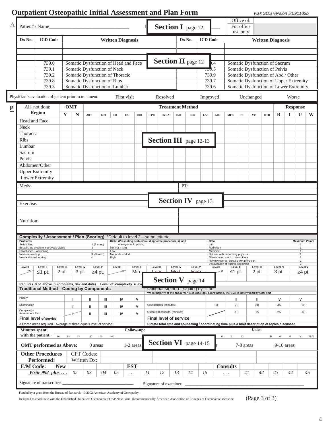## **Outpatient Osteopathic Initial Assessment and Plan Form** *wak SOS version 5:091102b*

| $\triangle$             | Patient's Name                         |                                                                            |                                                              |                                |                                   |                      |              |            |                                                                                                                                      |                 |            |                 |                                                                            |                 | Office of:<br>For office |                                                                                  |                          |                 |                 |                           |     |
|-------------------------|----------------------------------------|----------------------------------------------------------------------------|--------------------------------------------------------------|--------------------------------|-----------------------------------|----------------------|--------------|------------|--------------------------------------------------------------------------------------------------------------------------------------|-----------------|------------|-----------------|----------------------------------------------------------------------------|-----------------|--------------------------|----------------------------------------------------------------------------------|--------------------------|-----------------|-----------------|---------------------------|-----|
|                         |                                        |                                                                            |                                                              |                                |                                   |                      |              |            | <b>Section I</b> page 12                                                                                                             |                 |            |                 |                                                                            |                 | use only:                |                                                                                  |                          |                 |                 |                           |     |
|                         | Dx No.                                 | <b>ICD Code</b>                                                            |                                                              |                                | <b>Written Diagnosis</b>          |                      |              |            |                                                                                                                                      |                 | Dx No.     | <b>ICD</b> Code |                                                                            |                 |                          |                                                                                  | <b>Written Diagnosis</b> |                 |                 |                           |     |
|                         |                                        |                                                                            |                                                              |                                |                                   |                      |              |            |                                                                                                                                      |                 |            |                 |                                                                            |                 |                          |                                                                                  |                          |                 |                 |                           |     |
|                         |                                        |                                                                            |                                                              |                                |                                   |                      |              |            |                                                                                                                                      |                 |            |                 |                                                                            |                 |                          |                                                                                  |                          |                 |                 |                           |     |
|                         |                                        |                                                                            |                                                              |                                |                                   |                      |              |            |                                                                                                                                      |                 |            |                 |                                                                            |                 |                          |                                                                                  |                          |                 |                 |                           |     |
|                         |                                        | 739.0                                                                      | Somatic Dysfunction of Head and Face                         |                                |                                   |                      |              |            | <b>Section II</b> page 12                                                                                                            |                 |            |                 | $\overline{A}$                                                             |                 |                          | Somatic Dysfunction of Sacrum                                                    |                          |                 |                 |                           |     |
|                         |                                        | 739.1                                                                      | Somatic Dysfunction of Neck                                  |                                |                                   |                      |              |            |                                                                                                                                      |                 |            |                 | 759.5                                                                      |                 |                          | Somatic Dysfunction of Pelvis                                                    |                          |                 |                 |                           |     |
|                         |                                        | 739.2                                                                      | Somatic Dysfunction of Thoracic                              |                                |                                   |                      |              |            |                                                                                                                                      |                 |            |                 | 739.9                                                                      |                 |                          | Somatic Dysfunction of Abd / Other                                               |                          |                 |                 |                           |     |
|                         |                                        | 739.8<br>739.3                                                             | Somatic Dysfunction of Ribs<br>Somatic Dysfunction of Lumbar |                                |                                   |                      |              |            |                                                                                                                                      |                 |            |                 | 739.7<br>739.6                                                             |                 |                          | Somatic Dysfunction of Upper Extremity<br>Somatic Dysfunction of Lower Extremity |                          |                 |                 |                           |     |
|                         |                                        |                                                                            |                                                              |                                |                                   |                      |              |            |                                                                                                                                      |                 |            |                 |                                                                            |                 |                          |                                                                                  |                          |                 |                 |                           |     |
|                         |                                        | Physician's evaluation of patient prior to treatment:                      |                                                              |                                |                                   | First visit          |              |            | Resolved                                                                                                                             |                 |            |                 | Improved                                                                   |                 |                          | Unchanged                                                                        |                          |                 | Worse           |                           |     |
|                         |                                        | All not done                                                               | <b>OMT</b>                                                   |                                |                                   |                      |              |            | <b>Treatment Method</b>                                                                                                              |                 |            |                 |                                                                            |                 |                          |                                                                                  |                          |                 |                 |                           |     |
| $\overline{\mathbf{P}}$ |                                        | Region                                                                     |                                                              |                                |                                   |                      |              |            |                                                                                                                                      |                 |            |                 |                                                                            |                 |                          |                                                                                  |                          |                 | <b>Response</b> |                           |     |
|                         |                                        |                                                                            | Y<br>N                                                       | $\bf ART$                      | <b>BLT</b><br>$\rm CR$            | $_{\rm CS}$          | $_{\rm DIR}$ | <b>FPR</b> | <b>HVLA</b>                                                                                                                          | <b>IND</b>      | <b>INR</b> | LAS             | ME                                                                         | <b>MFR</b>      | ${\bf ST}$               | <b>VIS</b>                                                                       | OTH                      | R               | 1               | U                         | W   |
|                         | Head and Face                          |                                                                            |                                                              |                                |                                   |                      |              |            |                                                                                                                                      |                 |            |                 |                                                                            |                 |                          |                                                                                  |                          |                 |                 |                           |     |
|                         | Neck<br>Thoracic                       |                                                                            |                                                              |                                |                                   |                      |              |            |                                                                                                                                      |                 |            |                 |                                                                            |                 |                          |                                                                                  |                          |                 |                 |                           |     |
|                         | <b>Ribs</b>                            |                                                                            |                                                              |                                |                                   |                      |              |            |                                                                                                                                      |                 |            |                 |                                                                            |                 |                          |                                                                                  |                          |                 |                 |                           |     |
|                         | Lumbar                                 |                                                                            |                                                              |                                |                                   |                      |              |            | <b>Section III</b> page 12-13                                                                                                        |                 |            |                 |                                                                            |                 |                          |                                                                                  |                          |                 |                 |                           |     |
|                         | Sacrum                                 |                                                                            |                                                              |                                |                                   |                      |              |            |                                                                                                                                      |                 |            |                 |                                                                            |                 |                          |                                                                                  |                          |                 |                 |                           |     |
|                         | Pelvis                                 |                                                                            |                                                              |                                |                                   |                      |              |            |                                                                                                                                      |                 |            |                 |                                                                            |                 |                          |                                                                                  |                          |                 |                 |                           |     |
|                         | Abdomen/Other                          |                                                                            |                                                              |                                |                                   |                      |              |            |                                                                                                                                      |                 |            |                 |                                                                            |                 |                          |                                                                                  |                          |                 |                 |                           |     |
|                         | <b>Upper Extremity</b>                 |                                                                            |                                                              |                                |                                   |                      |              |            |                                                                                                                                      |                 |            |                 |                                                                            |                 |                          |                                                                                  |                          |                 |                 |                           |     |
|                         |                                        | Lower Extremity                                                            |                                                              |                                |                                   |                      |              |            |                                                                                                                                      |                 |            |                 |                                                                            |                 |                          |                                                                                  |                          |                 |                 |                           |     |
|                         | Meds:                                  |                                                                            |                                                              |                                |                                   |                      |              |            |                                                                                                                                      | PT:             |            |                 |                                                                            |                 |                          |                                                                                  |                          |                 |                 |                           |     |
|                         |                                        |                                                                            |                                                              |                                |                                   |                      |              |            |                                                                                                                                      |                 |            |                 |                                                                            |                 |                          |                                                                                  |                          |                 |                 |                           |     |
|                         |                                        |                                                                            |                                                              |                                |                                   |                      |              |            |                                                                                                                                      |                 |            |                 |                                                                            |                 |                          |                                                                                  |                          |                 |                 |                           |     |
|                         | Exercise:                              |                                                                            |                                                              |                                |                                   |                      |              |            | <b>Section IV</b> page 13                                                                                                            |                 |            |                 |                                                                            |                 |                          |                                                                                  |                          |                 |                 |                           |     |
|                         |                                        |                                                                            |                                                              |                                |                                   |                      |              |            |                                                                                                                                      |                 |            |                 |                                                                            |                 |                          |                                                                                  |                          |                 |                 |                           |     |
|                         |                                        |                                                                            |                                                              |                                |                                   |                      |              |            |                                                                                                                                      |                 |            |                 |                                                                            |                 |                          |                                                                                  |                          |                 |                 |                           |     |
|                         | Nutrition:                             |                                                                            |                                                              |                                |                                   |                      |              |            |                                                                                                                                      |                 |            |                 |                                                                            |                 |                          |                                                                                  |                          |                 |                 |                           |     |
|                         |                                        |                                                                            |                                                              |                                |                                   |                      |              |            |                                                                                                                                      |                 |            |                 |                                                                            |                 |                          |                                                                                  |                          |                 |                 |                           |     |
|                         | Problems                               | <b>Complexity / Assessment / Plan (Scoring)</b>                            |                                                              |                                | *Default to level 2-same criteria |                      |              |            | Risk: (Presenting problem(s), diagnostic procedure(s), and                                                                           |                 |            |                 | Data                                                                       |                 |                          |                                                                                  |                          |                 |                 | <b>Maximum Points</b>     |     |
|                         | Self-limiting                          | Established problem improved / stable                                      |                                                              | 1(2 max.)                      | Minimal = Min                     | management options)  |              |            |                                                                                                                                      |                 |            |                 | Lab<br>Radiology                                                           |                 |                          |                                                                                  |                          |                 |                 |                           |     |
|                         | Established-worsening<br>New-no workup |                                                                            |                                                              | $\overline{2}$<br>$3$ (3 max.) | Low<br>Moderate = Mod             |                      |              |            |                                                                                                                                      |                 |            |                 | Medicine<br>Discuss with performing physician                              |                 |                          |                                                                                  |                          |                 |                 |                           |     |
|                         | New additional workup                  |                                                                            |                                                              |                                |                                   |                      |              |            |                                                                                                                                      |                 |            |                 | Obtain records or Hx trom others<br>Review records, discuss with physician |                 |                          |                                                                                  |                          |                 |                 | 2                         |     |
|                         | Level I                                | Level II                                                                   | Level III<br><b>Level IV</b>                                 | Level V                        | Level I                           |                      | Level II     | Level III  |                                                                                                                                      | <b>Level IV</b> | Level V    |                 | Visualization of tracing, specimen<br>Level I                              | Level II        |                          | Level III                                                                        |                          | <b>Level IV</b> |                 | $\overline{a}$<br>Level V |     |
|                         |                                        | $\leq$ 1 pt.                                                               | 2 pt.<br>3 pt.                                               | $\geq$ 4 pt.                   |                                   |                      | Min.         |            |                                                                                                                                      | Mod             | طوناكا     |                 |                                                                            | ≤1 pt.          |                          | 2 pt.                                                                            |                          | 3 pt.           |                 | $\geq$ 4 pt.              |     |
|                         |                                        |                                                                            |                                                              |                                |                                   |                      |              |            | <b>Section V</b> page 14                                                                                                             |                 |            |                 |                                                                            |                 |                          |                                                                                  |                          |                 |                 |                           |     |
|                         |                                        | Requires 3 of above 3 (problems, risk and data). Level of complexity = ave |                                                              |                                |                                   |                      |              |            |                                                                                                                                      |                 |            |                 |                                                                            |                 |                          |                                                                                  |                          |                 |                 |                           |     |
|                         |                                        | <b>Traditional Method-Coding by Components</b>                             |                                                              |                                |                                   |                      |              |            | Optional Method-Coding by Time<br>When majority of the encounter is counseling / coordinating, the level is determined by total time |                 |            |                 |                                                                            |                 |                          |                                                                                  |                          |                 |                 |                           |     |
|                         | History                                |                                                                            |                                                              | Ш                              | Ш                                 | IV                   | V            |            |                                                                                                                                      |                 |            |                 |                                                                            | Ш               |                          | Ш                                                                                |                          | IV              |                 | v                         |     |
|                         | Examination                            |                                                                            | п                                                            | ш                              | Ш                                 | IV                   | v            |            | New patients (minutes)                                                                                                               |                 |            |                 | 10                                                                         | 20              |                          | 30                                                                               |                          | 45              |                 | 60                        |     |
|                         | Complexity /<br>Assessment Plan        |                                                                            |                                                              | ш                              | Ш                                 | IV                   | $\mathsf{v}$ |            | Outpatient consults (minutes)                                                                                                        |                 |            |                 |                                                                            | 10              |                          | 15                                                                               |                          | 25              |                 | 40                        |     |
|                         |                                        | <b>Final level of service</b>                                              |                                                              |                                |                                   |                      |              |            | <b>Final level of service</b>                                                                                                        |                 |            |                 |                                                                            |                 |                          |                                                                                  |                          |                 |                 |                           |     |
|                         |                                        | All three areas required. Average of three equals level of service.        |                                                              |                                |                                   |                      |              |            | Dictate total time and counseling / coordinating time plus a brief description of topics discussed                                   |                 |            |                 |                                                                            |                 |                          |                                                                                  |                          |                 |                 |                           |     |
|                         | <b>Minutes</b> spent                   |                                                                            |                                                              |                                |                                   |                      | Follow-up:   |            |                                                                                                                                      |                 |            |                 |                                                                            |                 |                          | Units:                                                                           |                          |                 |                 |                           |     |
|                         | with the patient:                      | 10                                                                         | 15<br>25                                                     | 40<br>60                       | $>60$                             |                      |              |            |                                                                                                                                      |                 |            |                 | 10                                                                         | 11              | 12                       |                                                                                  | $\mathbf D$              | W               | M               | Y                         | PRN |
|                         |                                        | <b>OMT</b> performed as Above:                                             |                                                              | 0 areas                        |                                   | 1-2 areas            |              |            | <b>Section VI</b> page 14-15                                                                                                         |                 |            |                 |                                                                            |                 | 7-8 areas                |                                                                                  |                          |                 | $9-10$ areas    |                           |     |
|                         |                                        | <b>Other Procedures</b>                                                    |                                                              | <b>CPT</b> Codes:              |                                   |                      |              |            |                                                                                                                                      |                 |            |                 |                                                                            |                 |                          |                                                                                  |                          |                 |                 |                           |     |
|                         |                                        | Performed:                                                                 |                                                              | Written Dx:                    |                                   |                      |              |            |                                                                                                                                      |                 |            |                 |                                                                            |                 |                          |                                                                                  |                          |                 |                 |                           |     |
|                         | <b>E/M Code:</b>                       | <b>New</b>                                                                 |                                                              |                                |                                   | <b>EST</b>           |              |            |                                                                                                                                      |                 |            |                 |                                                                            | <b>Consults</b> |                          |                                                                                  |                          |                 |                 |                           |     |
|                         |                                        | Write 992 plus                                                             | 02                                                           | 03                             | 04<br>05                          | $\sim$ $\sim$ $\sim$ |              | 11         | 12                                                                                                                                   | 13              | 14         | 15              |                                                                            | $\cdots$        | 41                       |                                                                                  | 42                       | 43              | 44              |                           | 45  |
|                         |                                        | Signature of transcriber:                                                  |                                                              |                                |                                   |                      |              |            | Signature of examiner:                                                                                                               |                 |            |                 |                                                                            |                 |                          |                                                                                  |                          |                 |                 |                           |     |
|                         |                                        |                                                                            |                                                              |                                |                                   |                      |              |            |                                                                                                                                      |                 |            |                 |                                                                            |                 |                          |                                                                                  |                          |                 |                 |                           |     |

Funded by a grant from the Bureau of Research.  $\oslash$  2002 American Academy of Osteopathy.

Designed to coordinate with the Established Outpatient Osteopathic SOAP Note Form. Recommended by American Association of Colleges of Osteopathic Medicine. (Page 3 of 3)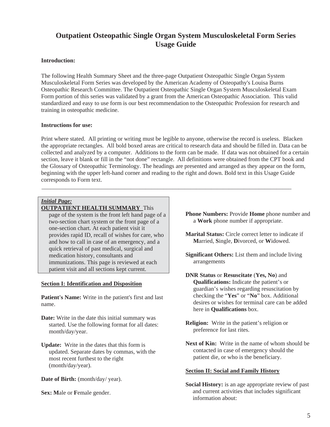## **Outpatient Osteopathic Single Organ System Musculoskeletal Form Series Usage Guide**

#### **Introduction:**

The following Health Summary Sheet and the three-page Outpatient Osteopathic Single Organ System Musculoskeletal Form Series was developed by the American Academy of Osteopathy's Louisa Burns Osteopathic Research Committee. The Outpatient Osteopathic Single Organ System Musculoskeletal Exam Form portion of this series was validated by a grant from the American Osteopathic Association. This valid standardized and easy to use form is our best recommendation to the Osteopathic Profession for research and training in osteopathic medicine.

#### **Instructions for use:**

Print where stated. All printing or writing must be legible to anyone, otherwise the record is useless. Blacken the appropriate rectangles. All bold boxed areas are critical to research data and should be filled in. Data can be collected and analyzed by a computer. Additions to the form can be made. If data was not obtained for a certain section, leave it blank or fill in the "not done" rectangle. All definitions were obtained from the CPT book and the Glossary of Osteopathic Terminology. The headings are presented and arranged as they appear on the form, beginning with the upper left-hand corner and reading to the right and down. Bold text in this Usage Guide corresponds to Form text.

\_\_\_\_\_\_\_\_\_\_\_\_\_\_\_\_\_\_\_\_\_\_\_\_\_\_\_\_\_\_\_\_\_\_\_\_\_\_\_\_\_\_\_\_\_\_\_\_\_\_\_\_\_\_\_\_\_\_\_\_\_\_\_\_\_\_\_\_\_\_\_\_\_\_\_\_\_\_\_\_\_\_\_\_

#### *Initial Page:*

#### **OUTPATIENT HEALTH SUMMARY** This

page of the system is the front left hand page of a two-section chart system or the front page of a one-section chart. At each patient visit it provides rapid ID, recall of wishes for care, who and how to call in case of an emergency, and a quick retrieval of past medical, surgical and medication history, consultants and immunizations. This page is reviewed at each patient visit and all sections kept current.

#### **Section I: Identification and Disposition**

**Patient's Name:** Write in the patient's first and last name.

**Date:** Write in the date this initial summary was started. Use the following format for all dates: month/day/year.

**Update:** Write in the dates that this form is updated. Separate dates by commas, with the most recent furthest to the right (month/day/year).

Date of Birth: (month/day/ year).

**Sex: M**ale or **F**emale gender.

- **Phone Numbers:** Provide **Home** phone number and a **Work** phone number if appropriate.
- **Marital Status:** Circle correct letter to indicate if **M**arried, **S**ingle, **D**ivorced, or **W**idowed.
- **Significant Others:** List them and include living arrangements
- **DNR Status** or **Resuscitate** (**Yes, No**) and **Qualifications:** Indicate the patient's or guardian's wishes regarding resuscitation by checking the "**Yes**" or "**No**" box. Additional desires or wishes for terminal care can be added here in **Qualifications** box.
- **Religion:** Write in the patient's religion or preference for last rites.
- **Next of Kin:** Write in the name of whom should be contacted in case of emergency should the patient die, or who is the beneficiary.

#### **Section II: Social and Family History**

**Social History:** is an age appropriate review of past and current activities that includes significant information about: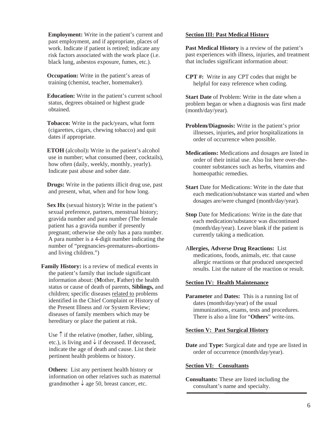**Employment:** Write in the patient's current and past employment, and if appropriate, places of work. Indicate if patient is retired; indicate any risk factors associated with the work place (i.e. black lung, asbestos exposure, fumes, etc.).

**Occupation:** Write in the patient's areas of training (chemist, teacher, homemaker).

 **Education:** Write in the patient's current school status, degrees obtained or highest grade obtained.

 **Tobacco:** Write in the pack/years, what form (cigarettes, cigars, chewing tobacco) and quit dates if appropriate.

 **ETOH** (alcohol)**:** Write in the patient's alcohol use in number; what consumed (beer, cocktails), how often (daily, weekly, monthly, yearly). Indicate past abuse and sober date.

 **Drugs:** Write in the patients illicit drug use, past and present, what, when and for how long.

 **Sex Hx** (sexual history)**:** Write in the patient's sexual preference, partners, menstrual history; gravida number and para number (The female patient has a gravida number if presently pregnant; otherwise she only has a para number. A para number is a 4-digit number indicating the number of "pregnancies-prematures-abortionsand living children.")

**Family History:** is a review of medical events in the patient's family that include significant information about: (**M**other, **F**ather) the health status or cause of death of parents, **Siblings,** and children; specific diseases related to problems identified in the Chief Complaint or History of the Present Illness and /or System Review; diseases of family members which may be hereditary or place the patient at risk.

Use  $\uparrow$  if the relative (mother, father, sibling, etc.), is living and  $\downarrow$  if deceased. If deceased, indicate the age of death and cause. List their pertinent health problems or history.

**Others:** List any pertinent health history or information on other relatives such as maternal grandmother  $\downarrow$  age 50, breast cancer, etc.

#### **Section III: Past Medical History**

Past Medical History is a review of the patient's past experiences with illness, injuries, and treatment that includes significant information about:

**CPT #:** Write in any CPT codes that might be helpful for easy reference when coding.

**Start Date** of Problem: Write in the date when a problem began or when a diagnosis was first made (month/day/year)*.*

- **Problem/Diagnosis:** Write in the patient's prior illnesses, injuries**,** and prior hospitalizations in order of occurrence when possible.
- **Medications:** Medications and dosages are listed in order of their initial use. Also list here over-thecounter substances such as herbs, vitamins and homeopathic remedies.
- **Start** Date for Medications: Write in the date that each medication/substance was started and when dosages are/were changed (month/day/year).
- **Stop** Date for Medications: Write in the date that each medication/substance was discontinued (month/day/year). Leave blank if the patient is currently taking a medication.
- A**llergies, Adverse Drug Reactions:** List medications, foods, animals, etc. that cause allergic reactions or that produced unexpected results. List the nature of the reaction or result.

#### **Section IV: Health Maintenance**

**Parameter** and **Dates:** This is a running list of dates (month/day/year) of the usual immunizations, exams, tests and procedures. There is also a line for "**Others**" write-ins.

#### **Section V: Past Surgical History**

**Date** and **Type:** Surgical date and type are listed in order of occurrence (month/day/year).

#### **Section VI: Consultants**

**Consultants:** These are listed including the consultant's name and specialty.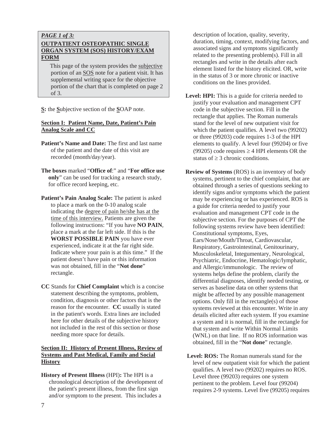#### *PAGE 1 of 3:*  **OUTPATIENT OSTEOPATHIC SINGLE ORGAN SYSTEM (SOS) HISTORY/EXAM FORM**

 This page of the system provides the subjective portion of an SOS note for a patient visit. It has supplemental writing space for the objective portion of the chart that is completed on page 2 of 3.

**S:** the **S**ubjective section of the **S**OAP note.

#### **Section I: Patient Name, Date, Patient's Pain Analog Scale and CC**

- **Patient's Name and Date:** The first and last name of the patient and the date of this visit are recorded (month/day/year).
- **The boxes** marked "**Office of**:" and "**For office use only**" can be used for tracking a research study, for office record keeping, etc.
- Patient's Pain Analog Scale: The patient is asked to place a mark on the 0-10 analog scale indicating the degree of pain he/she has at the time of this interview. Patients are given the following instructions: "If you have **NO PAIN**, place a mark at the far left side. If this is the **WORST POSSIBLE PAIN** you have ever experienced, indicate it at the far right side. Indicate where your pain is at this time." If the patient doesn't have pain or this information was not obtained, fill in the "**Not done**" rectangle.
- **CC** Stands for **Chief Complaint** which is a concise statement describing the symptoms, problem, condition, diagnosis or other factors that is the reason for the encounter. **CC** usually is stated in the patient's words. Extra lines are included here for other details of the subjective history not included in the rest of this section or those needing more space for details.

#### **Section II: History of Present Illness, Review of Systems and Past Medical, Family and Social History**

**History of Present Illness** (HPI)**:** The HPI is a chronological description of the development of the patient's present illness, from the first sign and/or symptom to the present. This includes a

description of location, quality, severity, duration, timing, context, modifying factors, and associated signs and symptoms significantly related to the presenting problem(s). Fill in all rectangles and write in the details after each element listed for the history elicited. OR, write in the status of 3 or more chronic or inactive conditions on the lines provided.

- Level: **HPI:** This is a guide for criteria needed to justify your evaluation and management CPT code in the subjective section. Fill in the rectangle that applies. The Roman numerals stand for the level of new outpatient visit for which the patient qualifies. A level two (99202) or three (99203) code requires 1-3 of the HPI elements to qualify. A level four (99204) or five (99205) code requires  $\geq$  4 HPI elements OR the status of  $\geq 3$  chronic conditions.
- **Review of Systems** (ROS) is an inventory of body systems, pertinent to the chief complaint, that are obtained through a series of questions seeking to identify signs and/or symptoms which the patient may be experiencing or has experienced. ROS is a guide for criteria needed to justify your evaluation and management CPT code in the subjective section. For the purposes of CPT the following systems review have been identified: Constitutional symptoms, Eyes, Ears/Nose/Mouth/Throat, Cardiovascular, Respiratory, Gastrointestinal, Genitourinary, Musculoskeletal, Integumentary, Neurological, Psychiatric, Endocrine, Hematologic/lymphatic, and Allergic/immunologic. The review of systems helps define the problem, clarify the differential diagnoses, identify needed testing, or serves as baseline data on other systems that might be affected by any possible management options. Only fill in the rectangle(s) of those systems reviewed at this encounter. Write in any details elicited after each system. If you examine a system and it is normal, fill in the rectangle for that system and write Within Normal Limits (WNL) on that line. If no ROS information was obtained, fill in the "**Not done**" rectangle.
- Level: ROS: The Roman numerals stand for the level of new outpatient visit for which the patient qualifies. A level two (99202) requires no ROS. Level three (99203) requires one system pertinent to the problem. Level four (99204) requires 2-9 systems. Level five (99205) requires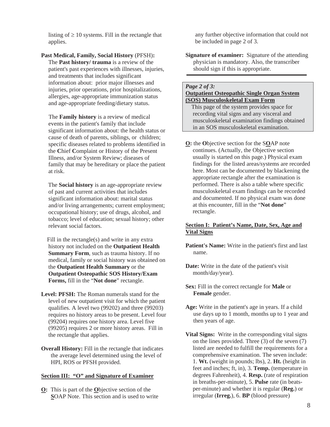listing of  $\geq 10$  systems. Fill in the rectangle that applies.

**Past Medical, Family, Social History** (PFSH)**:**  The **Past history/ trauma** is a review of the patient's past experiences with illnesses, injuries, and treatments that includes significant information about: prior major illnesses and injuries, prior operations, prior hospitalizations, allergies, age-appropriate immunization status and age-appropriate feeding/dietary status.

The **Family history** is a review of medical events in the patient's family that include significant information about: the health status or cause of death of parents, siblings, or children; specific diseases related to problems identified in the **C**hief **C**omplaint or History of the Present Illness, and/or System Review; diseases of family that may be hereditary or place the patient at risk.

The **Social history** is an age-appropriate review of past and current activities that includes significant information about: marital status and/or living arrangements; current employment; occupational history; use of drugs, alcohol, and tobacco; level of education; sexual history; other relevant social factors.

 Fill in the rectangle(s) and write in any extra history not included on the **Outpatient Health Summary Form**, such as trauma history. If no medical, family or social history was obtained on the **Outpatient Health Summary** or the **Outpatient Osteopathic SOS History/Exam Forms,** fill in the "**Not done**" rectangle.

- **Level: PFSH:** The Roman numerals stand for the level of new outpatient visit for which the patient qualifies. A level two (99202) and three (99203) requires no history areas to be present. Level four (99204) requires one history area. Level five (99205) requires 2 or more history areas. Fill in the rectangle that applies.
- **Overall History:** Fill in the rectangle that indicates the average level determined using the level of HPI, ROS or PFSH provided.

#### **Section III: "O" and Signature of Examiner**

**O:** This is part of the **O**bjective section of the **S**OAP Note. This section and is used to write

any further objective information that could not be included in page 2 of 3.

**Signature of examiner:** Signature of the attending physician is mandatory. Also, the transcriber should sign if this is appropriate.

#### *Page 2 of 3:*

#### **Outpatient Osteopathic Single Organ System (SOS) Musculoskeletal Exam Form**

This page of the system provides space for recording vital signs and any visceral and musculoskeletal examination findings obtained in an SOS musculoskeletal examination.

**O:** the **O**bjective section for the S**O**AP note continues. (Actually, the Objective section usually is started on this page.) Physical exam findings for the listed areas/systems are recorded here. Most can be documented by blackening the appropriate rectangle after the examination is performed. There is also a table where specific musculoskeletal exam findings can be recorded and documented. If no physical exam was done at this encounter, fill in the "**Not done**" rectangle.

#### **Section I: Patient's Name, Date, Sex, Age and Vital Signs**

**Patient's Name:** Write in the patient's first and last name.

- **Date:** Write in the date of the patient's visit month/day/year).
- **Sex:** Fill in the correct rectangle for **Male** or **Female** gender.
- **Age:** Write in the patient's age in years. If a child use days up to 1 month, months up to 1 year and then years of age.
- **Vital Signs:** Write in the corresponding vital signs on the lines provided. Three (3) of the seven (7) listed are needed to fulfill the requirements for a comprehensive examination. The seven include: 1. **Wt.** (weight in pounds; lbs), 2. **Ht.** (height in feet and inches; ft, in), 3. **Temp.** (temperature in degrees Fahrenheit), 4. **Resp.** (rate of respiration in breaths-per-minute), 5. **Pulse** rate (in beatsper-minute) and whether it is regular (**Reg.**) or irregular (**Irreg.**), 6. **BP** (blood pressure)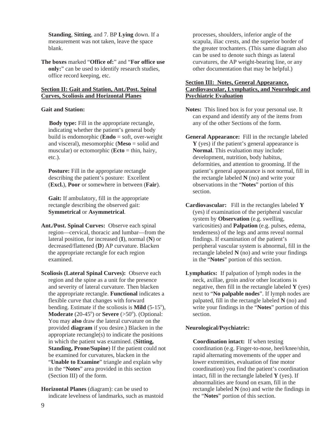**Standing**, **Sitting**, and 7. BP **Lying** down. If a measurement was not taken, leave the space blank.

**The boxes** marked "**Office of:**" and "**For office use only:**" can be used to identify research studies, office record keeping, etc.

#### **Section II: Gait and Station, Ant./Post. Spinal Curves, Scoliosis and Horizontal Planes**

#### **Gait and Station:**

**Body type:** Fill in the appropriate rectangle, indicating whether the patient's general body build is endomorphic (**Endo** = soft, over-weight and visceral), mesomorphic (**Meso** = solid and muscular) or ectomorphic (**Ecto** = thin, hairy, etc.).

**Posture:** Fill in the appropriate rectangle describing the patient's posture: Excellent (**Excl.**), **Poor** or somewhere in between (**Fair**).

 **Gait:** If ambulatory, fill in the appropriate rectangle describing the observed gait: **Symmetrical** or **Asymmetrical**.

- **Ant./Post. Spinal Curves:** Observe each spinal region—cervical, thoracic and lumbar—from the lateral position, for increased (**I**), normal (**N**) or decreased/flattened (**D**) AP curvature. Blacken the appropriate rectangle for each region examined.
- **Scoliosis (Lateral Spinal Curves):** Observe each region and the spine as a unit for the presence and severity of lateral curvature. Then blacken the appropriate rectangle. **Functional** indicates a flexible curve that changes with forward bending. Estimate if the scoliosis is **Mild**  $(5-15^{\circ})$ , **Moderate** (20-45 $^{\circ}$ ) or **Severe** (>50 $^{\circ}$ ). (Optional: You may **also** draw the lateral curvature on the provided **diagram** if you desire.) Blacken in the appropriate rectangle(s) to indicate the positions in which the patient was examined. (**Sitting, Standing, Prone/Supine**) If the patient could not be examined for curvatures, blacken in the "**Unable to Examine**" triangle and explain why in the "**Notes**" area provided in this section (Section III) of the form.

**Horizontal Planes** (diagram): can be used to indicate levelness of landmarks, such as mastoid processes, shoulders, inferior angle of the scapula, iliac crests, and the superior border of the greater trochanters. (This same diagram also can be used to denote such things as lateral curvatures, the AP weight-bearing line, or any other documentation that may be helpful.)

#### **Section III: Notes, General Appearance, Cardiovascular, Lymphatics, and Neurologic and Psychiatric Evaluation**

- **Notes:** This lined box is for your personal use. It can expand and identify any of the items from any of the other Sections of the form.
- **General Appearance:** Fill in the rectangle labeled **Y** (yes) if the patient's general appearance is **Normal**. This evaluation may include: development, nutrition, body habitus, deformities, and attention to grooming. If the patient's general appearance is not normal, fill in the rectangle labeled **N** (no) and write your observations in the "**Notes**" portion of this section.
- **Cardiovascular:** Fill in the rectangles labeled **Y** (yes) if examination of the peripheral vascular system by **Observation** (e.g. swelling, varicosities) and **Palpation** (e.g. pulses, edema, tenderness) of the legs and arms reveal normal findings. If examination of the patient's peripheral vascular system is abnormal, fill in the rectangle labeled **N** (no) and write your findings in the "**Notes**" portion of this section.
- **Lymphatics:** If palpation of lymph nodes in the neck, axillae, groin and/or other locations is negative, then fill in the rectangle labeled **Y** (yes) next to "**No palpable nodes**". If lymph nodes are palpated, fill in the rectangle labeled **N** (no) and write your findings in the "**Notes**" portion of this section.

#### **Neurological/Psychiatric:**

**Coordination intact:** If when testing coordination (e.g. Finger-to-nose, heel/knee/shin, rapid alternating movements of the upper and lower extremities, evaluation of fine motor coordination) you find the patient's coordination intact, fill in the rectangle labeled **Y** (yes). If abnormalities are found on exam, fill in the rectangle labeled **N** (no) and write the findings in the "**Notes**" portion of this section.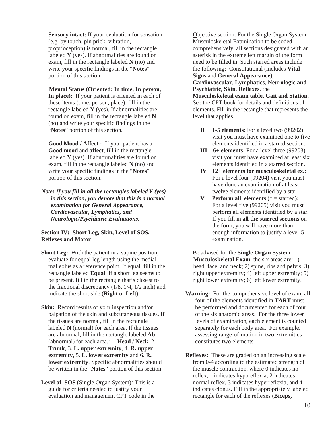**Sensory intact:** If your evaluation for sensation (e.g. by touch, pin prick, vibration, proprioception) is normal, fill in the rectangle labeled **Y** (yes). If abnormalities are found on exam, fill in the rectangle labeled **N** (no) and write your specific findings in the "**Notes**" portion of this section.

**Mental Status (Oriented: In time, In person, In place):** If your patient is oriented in each of these items (time, person, place), fill in the rectangle labeled **Y** (yes). If abnormalities are found on exam, fill in the rectangle labeled **N** (no) and write your specific findings in the "**Notes**" portion of this section.

**Good Mood / Affect :** If your patient has a **Good mood** and **affect**, fill in the rectangle labeled **Y** (yes). If abnormalities are found on exam, fill in the rectangle labeled **N** (no) and write your specific findings in the "**Notes**" portion of this section.

*Note: If you fill in all the rectangles labeled Y (yes) in this section, you denote that this is a normal examination for General Appearance, Cardiovascular, Lymphatics, and Neurologic/Psychiatric Evaluations***.**

#### **Section IV: Short Leg, Skin, Level of SOS, Reflexes and Motor**

- **Short Leg:** With the patient in a supine position, evaluate for equal leg length using the medial malleolus as a reference point. If equal, fill in the rectangle labeled **Equal**. If a short leg seems to be present, fill in the rectangle that's closest to the fractional discrepancy  $(1/8, 1/4, 1/2 \text{ inch})$  and indicate the short side (**Right** or **Left**).
- **Skin:** Record results of your inspection and/or palpation of the skin and subcutaneous tissues. If the tissues are normal, fill in the rectangle labeled **N** (normal) for each area. If the tissues are abnormal, fill in the rectangle labeled **Ab** (abnormal) for each area.: 1. **Head / Neck**, 2. **Trunk**, 3. **L. upper extremity**, 4. **R. upper extremity,** 5. **L. lower extremity** and 6. **R. lower extremity**. Specific abnormalities should be written in the "**Notes**" portion of this section.
- **Level of SOS** (Single Organ System)*:* This is a guide for criteria needed to justify your evaluation and management CPT code in the

**O**bjective section. For the Single Organ System Musculoskeletal Examination to be coded comprehensively, all sections designated with an asterisk in the extreme left margin of the form need to be filled in. Such starred areas include the following:Constitutional (includes **Vital Signs** and **General Appearance**), **Cardiovascular**, **Lymphatics**, **Neurologic and Psychiatric**, **Skin**, **Reflexes**, the

**Musculoskeletal exam table, Gait and Station**. See the CPT book for details and definitions of elements. Fill in the rectangle that represents the level that applies.

- **II 1-5 elements:** For a level two (99202) visit you must have examined one to five elements identified in a starred section.
- **III 6+ elements:** For a level three (99203) visit you must have examined at least six elements identified in a starred section.
- **IV 12+ elements for musculoskeletal ex.:**  For a level four (99204) visit you must have done an examination of at least twelve elements identified by a star.
- **V Perform all elements** (\* = starred**):**  For a level five (99205) visit you must perform all elements identified by a star. If you fill in **all the starred sections** on the form, you will have more than enough information to justify a level-5 examination.

Be advised for the **Single Organ System Musculoskeletal Exam**, the six areas are: 1) head, face, and neck; 2) spine, ribs and pelvis; 3) right upper extremity; 4) left upper extremity; 5) right lower extremity; 6) left lower extremity.

- **Warning:** For the comprehensive level of exam, all four of the elements identified in **TART** must be performed and documented for each of four of the six anatomic areas. For the three lower levels of examination, each element is counted separately for each body area. For example, assessing range-of-motion in two extremities constitutes two elements.
- **Reflexes:** These are graded on an increasing scale from 0-4 according to the estimated strength of the muscle contraction, where 0 indicates no reflex, 1 indicates hyporeflexia, 2 indicates normal reflex, 3 indicates hyperreflexia, and 4 indicates clonus. Fill in the appropriately labeled rectangle for each of the reflexes (**Biceps,**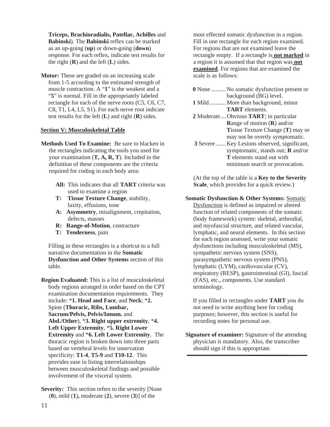**Triceps, Brachioradialis, Patellar, Achilles** and **Babinski**). The **Babinski** reflex can be marked as an up-going (**up**) or down-going (**down**) response. For each reflex, indicate test results for the right  $(R)$  and the left  $(L)$  sides.

**Motor:** These are graded on an increasing scale from 1-5 according to the estimated strength of muscle contraction. A "**1**" is the weakest and a "**5**" is normal. Fill in the appropriately labeled rectangle for each of the nerve roots (C5, C6, C7, C8, T1, L4, L5, S1). For each nerve root indicate test results for the left (**L**) and right (**R**) sides.

#### **Section V: Musculoskeletal Table**

- **Methods Used To Examine:** Be sure to blacken in the rectangles indicating the tools you used for your examination (**T, A, R, T**). Included in the definition of these components are the criteria required for coding in each body area:
	- **All:** This indicates that all **TART** criteria was used to examine a region
	- **T: Tissue Texture Change**, stability, laxity, effusions, tone
	- **A: Asymmetry**, misalignment, crepitation, defects, masses
	- **R: Range-of-Motion**, contracture
	- **T: Tenderness**, pain

Filling in these rectangles is a shortcut to a full narrative documentation in the **Somatic Dysfunction and Other Systems** section of this table.

- **Region Evaluated:** This is a list of musculoskeletal body regions arranged in order based on the CPT examination documentation requirements. They include: \***1. Head and Face**, and **Neck**; \***2.** Spine (**Thoracic, Ribs, Lumbar, Sacrum/Pelvis, Pelvis/Innom.** and **Abd./Other**), \***3. Right upper extremity**, \***4. Left Upper Extremity**, \***5. Right Lower Extremity** and \***6. Left Lower Extremity**. The thoracic region is broken down into three parts based on vertebral levels for innervation specificity: **T1-4**, **T5-9** and **T10-12**. This provides ease in listing interrelationships between musculoskeletal findings and possible involvement of the visceral system.
- **Severity:** This section refers to the severity [None] (**0**), mild (**1**)**,** moderate (**2**), severe (**3**)] of the

most effected somatic dysfunction in a region. Fill in one rectangle for each region examined. For regions that are not examined leave the rectangle empty. If a rectangle is **not marked** in a region it is assumed that that region was **not examined**. For regions that are examined the scale is as follows:

**0** None .......... No somatic dysfunction present or background (BG) level. **1** Mild ........... More than background, minor **TART** elements. **2** Moderate .... Obvious **TART**; in particular **R**ange of motion (**R**) and/or **T**issue Texture Change (**T**) may or may not be overtly symptomatic.  **3** Severe ....... Key Lesions observed, significant, symptomatic, stands out; **R** and/or **T** elements stand out with minimum search or provocation.

(At the top of the table is a **Key to the Severity Scale**, which provides for a quick review.)

#### **Somatic Dysfunction & Other Systems:** Somatic

Dysfunction is defined as impaired or altered function of related components of the somatic (body framework) system: skeletal, arthrodial, and myofascial structure, and related vascular, lymphatic, and neural elements. In this section for each region assessed, write your somatic dysfunctions including musculoskeletal (MS), sympathetic nervous system (SNS), parasympathetic nervous system (PNS), lymphatic (LYM), cardiovascular (CV), respiratory (RESP), gastrointestinal (GI), fascial (FAS), etc., components. Use standard terminology.

If you filled in rectangles under **TART** you do not need to write anything here for coding purposes; however, this section is useful for recording notes for personal use.

**Signature of examiner:** Signature of the attending physician is mandatory. Also, the transcriber should sign if this is appropriate.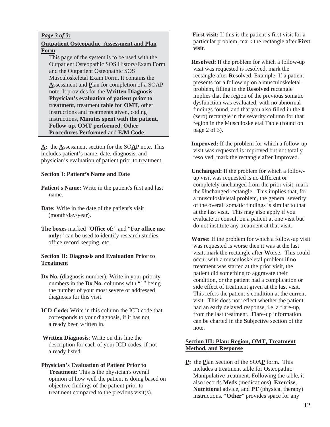#### *Page 3 of 3:*

#### **Outpatient Osteopathic Assessment and Plan Form**

 This page of the system is to be used with the Outpatient Osteopathic SOS History/Exam Form and the Outpatient Osteopathic SOS Musculoskeletal Exam Form. It contains the **A**ssessment and **P**lan for completion of a SOAP note. It provides for the **Written Diagnosis**, **Physician's evaluation of patient prior to treatment,** treatment **table for OMT,** other instructions and treatments given, coding instructions, **Minutes spent with the patient**, **Follow-up**, **OMT performed**, **Other Procedures Performed** and **E/M Code**.

**A:** the **A**ssessment section for the SO**A**P note. This includes patient's name, date, diagnosis, and physician's evaluation of patient prior to treatment.

#### **Section I: Patient's Name and Date**

- **Patient's Name:** Write in the patient's first and last name.
- **Date:** Write in the date of the patient's visit (month/day/year).
- **The boxes** marked "**Office of:**" and "**For office use only:**" can be used to identify research studies, office record keeping, etc.

#### **Section II: Diagnosis and Evaluation Prior to Treatment**

- **Dx No.** (diagnosis number)*:* Write in your priority numbers in the **Dx No.** columns with "1" being the number of your most severe or addressed diagnosis for this visit.
- **ICD Code:** Write in this column the ICD code that corresponds to your diagnosis, if it has not already been written in.
- **Written Diagnosis**: Write on this line the description for each of your ICD codes, if not already listed.

#### **Physician's Evaluation of Patient Prior to Treatment:** This is the physician's overall opinion of how well the patient is doing based on objective findings of the patient prior to treatment compared to the previous visit(s).

**First visit:** If this is the patient's first visit for a particular problem, mark the rectangle after **First visit**.

 **Resolved:** If the problem for which a follow-up visit was requested is resolved, mark the rectangle after **R**esolved. Example: If a patient presents for a follow up on a musculoskeletal problem, filling in the **Resolved** rectangle implies that the region of the previous somatic dysfunction was evaluated, with no abnormal findings found, and that you also filled in the **0** (zero) rectangle in the severity column for that region in the Musculoskeletal Table (found on page 2 of 3).

 **Improved:** If the problem for which a follow-up visit was requested is improved but not totally resolved, mark the rectangle after **I**mproved.

 **Unchanged:** If the problem for which a followup visit was requested is no different or completely unchanged from the prior visit, mark the **U**nchanged rectangle. This implies that, for a musculoskeletal problem, the general severity of the overall somatic findings is similar to that at the last visit. This may also apply if you evaluate or consult on a patient at one visit but do not institute any treatment at that visit.

 **Worse:** If the problem for which a follow-up visit was requested is worse then it was at the last visit, mark the rectangle after **W**orse. This could occur with a musculoskeletal problem if no treatment was started at the prior visit, the patient did something to aggravate their condition, or the patient had a complication or side effect of treatment given at the last visit. This refers the patient's condition at the current visit. This does not reflect whether the patient had an early delayed response, i.e. a flare-up, from the last treatment. Flare-up information can be charted in the **S**ubjective section of the note.

#### **Section III: Plan: Region, OMT, Treatment Method, and Response**

**P:** the **P**lan Section of the SOA**P** form. This includes a treatment table for Osteopathic Manipulative treatment. Following the table, it also records **Meds** (medications), **Exercise**, **Nutrition**al advice, and **PT** (physical therapy) instructions. "**Other**" provides space for any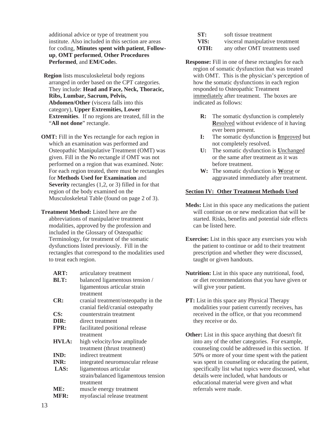additional advice or type of treatment you institute. Also included in this section are areas for coding, **Minutes spent with patient**, **Followup**, **OMT performed**, **Other Procedures Performed**, and **EM/Code**s.

 **Region** lists musculoskeletal body regions arranged in order based on the CPT categories. They include: **Head and Face, Neck, Thoracic, Ribs, Lumbar, Sacrum, Pelvis, Abdomen/Other** (viscera falls into this category), **Upper Extremities, Lower Extremities**. If no regions are treated, fill in the "**All not done**" rectangle.

**OMT:** Fill in the **Y**es rectangle for each region in which an examination was performed and Osteopathic Manipulative Treatment (OMT) was given. Fill in the **N**o rectangle if OMT was not performed on a region that was examined. Note: For each region treated, there must be rectangles for **Methods Used for Examination** and **Severity** rectangles (1,2, or 3) filled in for that region of the body examined on the Musculoskeletal Table (found on page 2 of 3).

**Treatment Method:** Listed here are the abbreviations of manipulative treatment modalities, approved by the profession and included in the Glossary of Osteopathic Terminology, for treatment of the somatic dysfunctions listed previously. Fill in the rectangles that correspond to the modalities used to treat each region.

| ART:         | articulatory treatment              |
|--------------|-------------------------------------|
| <b>BLT:</b>  | balanced ligamentous tension /      |
|              | ligamentous articular strain        |
|              | treatment                           |
| CR:          | cranial treatment/osteopathy in the |
|              | cranial field/cranial osteopathy    |
| CS:          | counterstrain treatment             |
| DIR:         | direct treatment                    |
| <b>FPR:</b>  | facilitated positional release      |
|              | treatment                           |
| <b>HVLA:</b> | high velocity/low amplitude         |
|              | treatment (thrust treatment)        |
| <b>IND:</b>  | indirect treatment                  |
| INR:         | integrated neuromuscular release    |
| LAS:         | ligamentous articular               |
|              | strain/balanced ligamentous tension |
|              | treatment                           |
| ME:          | muscle energy treatment             |
| MFR:         | myofascial release treatment        |
|              |                                     |

| ST:  | soft tissue treatment           |
|------|---------------------------------|
| VIS: | visceral manipulative treatment |
| OTH: | any other OMT treatments used   |

- **Response:** Fill in one of these rectangles for each region of somatic dysfunction that was treated with OMT. This is the physician's perception of how the somatic dysfunctions in each region responded to Osteopathic Treatment immediately after treatment. The boxes are indicated as follows:
	- **R:** The somatic dysfunction is completely **R**esolved without evidence of it having ever been present.
	- **I:** The somatic dysfunction is **I**mproved but not completely resolved.
	- **U:** The somatic dysfunction is **U**nchanged or the same after treatment as it was before treatment.
	- **W:** The somatic dysfunction is **W**orse or aggravated immediately after treatment.

#### **Section IV: Other Treatment Methods Used**

- **Meds:** List in this space any medications the patient will continue on or new medication that will be started. Risks, benefits and potential side effects can be listed here.
- **Exercise:** List in this space any exercises you wish the patient to continue or add to their treatment prescription and whether they were discussed, taught or given handouts.
- **Nutrition:** List in this space any nutritional, food, or diet recommendations that you have given or will give your patient.
- **PT:** List in this space any Physical Therapy modalities your patient currently receives, has received in the office, or that you recommend they receive or do.
- **Other:** List in this space anything that doesn't fit into any of the other categories. For example, counseling could be addressed in this section. If 50% or more of your time spent with the patient was spent in counseling or educating the patient, specifically list what topics were discussed, what details were included, what handouts or educational material were given and what referrals were made.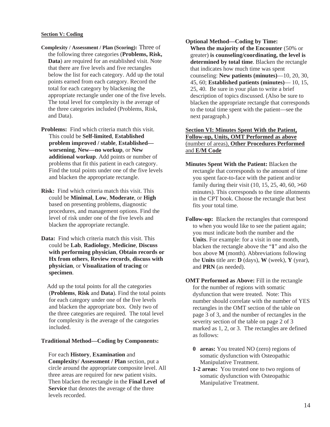#### **Section V: Coding**

- **Complexity / Assessment / Plan (Scoring):** Three of the following three categories (**Problems, Risk, Data**) are required for an established visit. Note that there are five levels and five rectangles below the list for each category. Add up the total points earned from each category. Record the total for each category by blackening the appropriate rectangle under one of the five levels. The total level for complexity is the average of the three categories included (Problems, Risk, and Data).
- **Problems:** Find which criteria match this visit. This could be **Self-limited**, **Established problem improved / stable**, **Established worsening**, **New—no workup**, or **New additional workup**. Add points or number of problems that fit this patient in each category. Find the total points under one of the five levels and blacken the appropriate rectangle.
- **Risk:** Find which criteria match this visit. This could be **Minimal**, **Low**, **Moderate**, or **High** based on presenting problems, diagnostic procedures, and management options. Find the level of risk under one of the five levels and blacken the appropriate rectangle.
- **Data:** Find which criteria match this visit. This could be **Lab**, **Radiology**, **Medicine**, **Discuss with performing physician**, **Obtain records or Hx from others**, **Review records**, **discuss with physician**, or **Visualization of tracing** or **specimen**.

 Add up the total points for all the categories (**Problems**, **Risk** and **Data**). Find the total points for each category under one of the five levels and blacken the appropriate box. Only two of the three categories are required. The total level for complexity is the average of the categories included.

#### **Traditional Method—Coding by Components:**

For each **History**, **Examination** and **Complexity/ Assessment / Plan** section, put a circle around the appropriate composite level. All three areas are required for new patient visits. Then blacken the rectangle in the **Final Level of Service** that denotes the average of the three levels recorded.

#### **Optional Method—Coding by Time:**

**When the majority of the Encounter** (50% or greater) **is counseling/coordinating, the level is determined by total time**. Blacken the rectangle that indicates how much time was spent counseling: **New patients (minutes)**—10, 20, 30, 45, 60; **Established patients (minutes)**— 10, 15, 25, 40. Be sure in your plan to write a brief description of topics discussed. (Also be sure to blacken the appropriate rectangle that corresponds to the total time spent with the patient—see the next paragraph.)

#### **Section VI: Minutes Spent With the Patient, Follow-up, Units, OMT Performed as above**  (number of areas), **Other Procedures Performed**  and **E/M Code**

- **Minutes Spent With the Patient:** Blacken the rectangle that corresponds to the amount of time you spent face-to-face with the patient and/or family during their visit  $(10, 15, 25, 40, 60, >60)$ minutes). This corresponds to the time allotments in the CPT book. Choose the rectangle that best fits your total time.
- **Follow-up:** Blacken the rectangles that correspond to when you would like to see the patient again; you must indicate both the number and the **Units**. For example: for a visit in one month, blacken the rectangle above the "**1**" and also the box above **M** (month). Abbreviations following the **Units** title are: **D** (days), **W** (week), **Y** (year), and **PRN** (as needed).
- **OMT Performed as Above:** Fill in the rectangle for the number of regions with somatic dysfunction that were treated. Note: This number should correlate with the number of YES rectangles in the OMT section of the table on page 3 of 3, and the number of rectangles in the severity section of the table on page 2 of 3 marked as 1, 2, or 3. The rectangles are defined as follows:
	- **0 areas:** You treated NO (zero) regions of somatic dysfunction with Osteopathic Manipulative Treatment.
	- **1-2 areas:** You treated one to two regions of somatic dysfunction with Osteopathic Manipulative Treatment.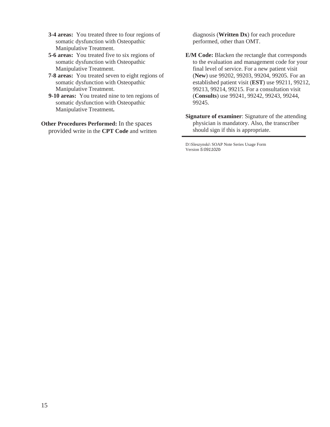- **3-4 areas:** You treated three to four regions of somatic dysfunction with Osteopathic Manipulative Treatment.
- **5-6 areas:** You treated five to six regions of somatic dysfunction with Osteopathic Manipulative Treatment.
- **7-8 areas:** You treated seven to eight regions of somatic dysfunction with Osteopathic Manipulative Treatment.
- **9-10 areas:** You treated nine to ten regions of somatic dysfunction with Osteopathic Manipulative Treatment**.**
- **Other Procedures Performed:** In the spaces provided write in the **CPT Code** and written

diagnosis (**Written Dx**) for each procedure performed, other than OMT.

- **E/M Code:** Blacken the rectangle that corresponds to the evaluation and management code for your final level of service. For a new patient visit (**New**) use 99202, 99203, 99204, 99205. For an established patient visit (**EST**) use 99211, 99212, 99213, 99214, 99215. For a consultation visit (**Consults**) use 99241, 99242, 99243, 99244, 99245.
- **Signature of examiner**: Signature of the attending physician is mandatory. Also, the transcriber should sign if this is appropriate.

D:\Sleszynski\ SOAP Note Series Usage Form Version *5:091102b*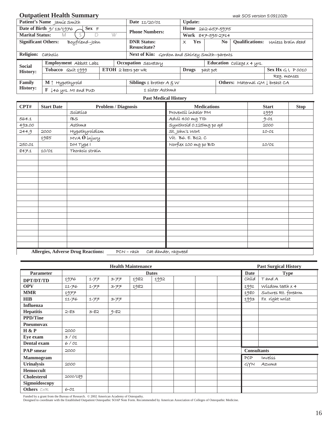#### **Outpatient Health Summary** *wak SOS version 5:091102b*

|                            | Patient's Name Jamie Smith             |                       | Date 11/20/01                                 | <b>Update:</b>         |                   |                                            |                            |  |  |  |  |  |
|----------------------------|----------------------------------------|-----------------------|-----------------------------------------------|------------------------|-------------------|--------------------------------------------|----------------------------|--|--|--|--|--|
|                            | Date of Birth $9/13/1976$<br>$Sex \ F$ |                       | <b>Phone Numbers:</b>                         |                        | Home 262-657-5975 |                                            |                            |  |  |  |  |  |
| <b>Marital Status:</b>     | D<br>M                                 | W                     |                                               |                        | Work 847-595-2714 |                                            |                            |  |  |  |  |  |
| <b>Significant Others:</b> | Boyfriend-John                         |                       | <b>DNR Status:</b><br><b>Resuscitate?</b>     | <b>Yes</b><br>$\times$ | N <sub>0</sub>    | <b>Oualifications:</b>                     | unless braín dead          |  |  |  |  |  |
| Religion: Catholic         |                                        |                       | Next of Kin: Gordon and Shirley Smith-parents |                        |                   |                                            |                            |  |  |  |  |  |
|                            |                                        |                       |                                               |                        |                   |                                            |                            |  |  |  |  |  |
|                            | Employment Abbott Labs                 |                       | Occupation Secretary                          |                        |                   | Education College x 4 yrs.                 |                            |  |  |  |  |  |
| <b>Social</b>              | Tobacco Quit 1999                      | $ETOH$ 2 beers per wk |                                               | <b>Drugs</b>           | past pot          |                                            | Sex $Hx \subset 1$ , PO010 |  |  |  |  |  |
| <b>History:</b>            |                                        |                       |                                               |                        |                   |                                            | Reg. menses                |  |  |  |  |  |
| Family<br><b>History:</b>  | $M \uparrow Hypothyroid$               |                       | Siblings 1 brother $A \in W$                  |                        |                   | Others: Maternal $GM \downarrow$ breast CA |                            |  |  |  |  |  |

#### **Past Medical History**

| CPT#   | <b>Start Date</b> | <b>Problem / Diagnosis</b>                              | <b>Medications</b>      | <b>Start</b> | <b>Stop</b> |
|--------|-------------------|---------------------------------------------------------|-------------------------|--------------|-------------|
|        |                   | Scíatica                                                | Proventil inhaler PM    | 1999         |             |
| 564.1  |                   | <b>IBS</b>                                              | Advil 400 mg TID        | $9 - 01$     |             |
| 493.00 |                   | Asthma                                                  | Synthroid 0.125mg po qd | 2000         |             |
| 244.9  | 2000              | Hypothyroídísm                                          | St. John's Wort         | $10 - 01$    |             |
|        | 1985              | MVA O injury                                            | Vít. B6. E. B12. C      |              |             |
| 250.01 |                   | DM Type I                                               | Norflex 100 mg po BID   | 10/01        |             |
| 847.1  | 10/01             | Thoracíc straín                                         |                         |              |             |
|        |                   |                                                         |                         |              |             |
|        |                   |                                                         |                         |              |             |
|        |                   |                                                         |                         |              |             |
|        |                   |                                                         |                         |              |             |
|        |                   |                                                         |                         |              |             |
|        |                   |                                                         |                         |              |             |
|        |                   |                                                         |                         |              |             |
|        |                   |                                                         |                         |              |             |
|        |                   |                                                         |                         |              |             |
|        |                   |                                                         |                         |              |             |
|        |                   |                                                         |                         |              |             |
|        |                   |                                                         |                         |              |             |
|        |                   |                                                         |                         |              |             |
|        |                   |                                                         |                         |              |             |
|        |                   |                                                         |                         |              |             |
|        |                   | <b>Allergies, Adverse Drug Reactions:</b><br>PCN – rash | Cat dander, ragweed     |              |             |

|                    |           |          |          | <b>Health Maintenance</b> |              |  |                    | <b>Past Surgical History</b> |
|--------------------|-----------|----------|----------|---------------------------|--------------|--|--------------------|------------------------------|
| Parameter          |           |          |          |                           | <b>Dates</b> |  | <b>Date</b>        | <b>Type</b>                  |
| DPT/DT/TD          | 1976      | 1-77     | $3 - 77$ | 1982                      | 1992         |  | Chíld              | TandA                        |
| <b>OPV</b>         | $11 - 76$ | エーアア     | $3 - 77$ | 1982                      |              |  | 1991               | Wisdom teeth $x$ 4           |
| <b>MMR</b>         | 1977      |          |          |                           |              |  | 1980               | Sutures Rt. forearm          |
| <b>HIB</b>         | $11 - 76$ | 1-77     | $3 - 77$ |                           |              |  | 1993               | Fx ríght wríst               |
| <b>Influenza</b>   |           |          |          |                           |              |  |                    |                              |
| <b>Hepatitis</b>   | $2 - 83$  | $3 - 82$ | $9 - 82$ |                           |              |  |                    |                              |
| <b>PPD/Tine</b>    |           |          |          |                           |              |  |                    |                              |
| <b>Pneumovax</b>   |           |          |          |                           |              |  |                    |                              |
| H & P              | 2000      |          |          |                           |              |  |                    |                              |
| Eye exam           | 3/01      |          |          |                           |              |  |                    |                              |
| Dental exam        | 6/01      |          |          |                           |              |  |                    |                              |
| <b>PAP</b> smear   | 2000      |          |          |                           |              |  | <b>Consultants</b> |                              |
| <b>Mammogram</b>   |           |          |          |                           |              |  | PCP                | Inveiss                      |
| <b>Urinalysis</b>  | 2000      |          |          |                           |              |  | GYN                | Azuma                        |
| <b>Hemoccult</b>   |           |          |          |                           |              |  |                    |                              |
| <b>Cholesterol</b> | 2000/189  |          |          |                           |              |  |                    |                              |
| Sigmoidoscopy      |           |          |          |                           |              |  |                    |                              |
| Others CXR         | $6 - 01$  |          |          |                           |              |  |                    |                              |

Funded by a grant from the Bureau of Research. © 2002 American Academy of Osteopathy.<br>Designed to coordinate with the Established Outpatient Osteopathic SOAP Note Form. Recommended by American Association of Colleges of Os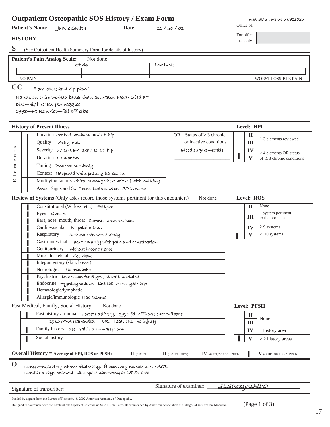|                               |                | <b>Outpatient Osteopathic SOS History / Exam Form</b>                                                                                          |                                                          |              | wak SOS version 5:091102b            |
|-------------------------------|----------------|------------------------------------------------------------------------------------------------------------------------------------------------|----------------------------------------------------------|--------------|--------------------------------------|
|                               |                | Patient's Name <i>__ jamie Smith</i><br>Date                                                                                                   | 11/20/01                                                 | Office of:   |                                      |
|                               |                |                                                                                                                                                |                                                          | For office   |                                      |
|                               | <b>HISTORY</b> |                                                                                                                                                |                                                          | use only:    |                                      |
| S                             |                | (See Outpatient Health Summary Form for details of history)                                                                                    |                                                          |              |                                      |
|                               |                | <b>Patient's Pain Analog Scale:</b><br>Not done                                                                                                |                                                          |              |                                      |
|                               |                | Left híp                                                                                                                                       | Low back                                                 |              |                                      |
|                               |                |                                                                                                                                                |                                                          |              |                                      |
|                               | <b>NO PAIN</b> |                                                                                                                                                |                                                          |              | WORST POSSIBLE PAIN                  |
| $\bf CC$                      |                | Low back and hip pain"                                                                                                                         |                                                          |              |                                      |
|                               |                | Hands on chiro worked better than activator. Never tried PT                                                                                    |                                                          |              |                                      |
|                               |                | Diet-high CHO, few veggies                                                                                                                     |                                                          |              |                                      |
|                               |                | 1993-FX Rt wrist-fell off bike                                                                                                                 |                                                          |              |                                      |
|                               |                |                                                                                                                                                |                                                          |              |                                      |
|                               |                | <b>History of Present Illness</b>                                                                                                              |                                                          | Level: HPI   |                                      |
|                               |                | Location central low-back and Lt. hip                                                                                                          | OR Status of $\geq$ 3 chronic                            | $\mathbf{I}$ | 1-3 elements reviewed                |
| S                             |                | Quality<br>Achy, dull                                                                                                                          | or inactive conditions                                   | III          |                                      |
| $\overline{\phantom{0}}$<br>Ξ |                | Severity 5/10 LBP, 1-3/10 Lt. híp                                                                                                              | Blood sugars-stable                                      | IV           | $\geq$ 4 elements OR status          |
| $\bullet$                     |                | Duration x 3 months                                                                                                                            |                                                          | $\mathbf{V}$ | of $\geq$ 3 chronic conditions       |
| Ξ<br>$\bullet$                |                | Timing Occurred suddenly                                                                                                                       |                                                          |              |                                      |
|                               |                | Context Happened while putting her sox on                                                                                                      |                                                          |              |                                      |
| 덕                             |                | Modifying factors Chíro, massage/heat helps; $\uparrow$ with walking                                                                           |                                                          |              |                                      |
|                               |                | Assoc. Signs and Sx 1 constipation when LBP is worse                                                                                           |                                                          |              |                                      |
|                               |                | Review of Systems (Only ask / record those systems pertinent for this encounter.)                                                              | Not done                                                 | Level: ROS   |                                      |
|                               |                | Constitutional (Wt loss, etc.) Fatigue                                                                                                         |                                                          | $\mathbf I$  | None                                 |
|                               |                | Eyes Glasses                                                                                                                                   |                                                          | Ш            | 1 system pertinent<br>to the problem |
|                               |                | Ears, nose, mouth, throat Chronic sinus problem                                                                                                |                                                          |              |                                      |
|                               |                | Cardiovascular No palpítations                                                                                                                 |                                                          | IV           | 2-9 systems                          |
|                               |                | Asthma been worse lately<br>Respiratory<br>Gastrointestinal IBS primarily with pain and constipation                                           |                                                          | V            | $\geq 10$ systems                    |
|                               |                | Genitourinary without incontinence                                                                                                             |                                                          |              |                                      |
|                               | п              | Musculoskeletal See above                                                                                                                      |                                                          |              |                                      |
|                               |                | Integumentary (skin, breast)                                                                                                                   |                                                          |              |                                      |
|                               |                | Neurological No headaches                                                                                                                      |                                                          |              |                                      |
|                               |                | Psychiatric Depression for 5 yrs., situation related                                                                                           |                                                          |              |                                      |
|                               |                | Endocrine Hypothyroídísm-last lab work 1 year ago                                                                                              |                                                          |              |                                      |
|                               |                | Hematologic/lymphatic                                                                                                                          |                                                          |              |                                      |
|                               |                | Allergic/immunologic Has asthma                                                                                                                |                                                          |              |                                      |
|                               |                | Past Medical, Family, Social History<br>Not done                                                                                               |                                                          | Level: PFSH  |                                      |
|                               |                | Past history / trauma Forceps delivery, 1990 fell off horse onto tailbone                                                                      |                                                          | $\mathbf{I}$ | None                                 |
|                               |                | 1985 MVA rear-ended, +ER, +seat belt, no injury                                                                                                |                                                          | Ш            |                                      |
|                               |                | Family history See Health Summary Form                                                                                                         |                                                          | IV           | 1 history area                       |
|                               |                | Social history                                                                                                                                 |                                                          | V            | $\geq$ 2 history areas               |
|                               |                |                                                                                                                                                |                                                          |              |                                      |
|                               |                | <b>Overall History = Average of HPI, ROS or PFSH:</b><br>$\Pi$ (1-3 HPI)                                                                       | $III$ (1-3 HPI, 1 ROS)<br>$IV$ (4+ HPI, 2-9 ROS, 1 PFSH) |              | $V$ (4+ HPI, 10+ ROS, 2+ PFSH)       |
| $\overline{\mathbf{O}}$       |                |                                                                                                                                                |                                                          |              |                                      |
|                               |                | Lungs—expiratory wheeze bilaterally, $\acute{\omega}$ accessory muscle use or SOB<br>Lumbar x-rays reviewed—disc space narrowing at L5-S1 area |                                                          |              |                                      |
|                               |                |                                                                                                                                                |                                                          |              |                                      |
|                               |                | Signature of transcriber:                                                                                                                      | Signature of examiner: <i>_____SLSleszynskiDO</i>        |              |                                      |
|                               |                |                                                                                                                                                |                                                          |              |                                      |

Funded by a grant from the Bureau of Research. © 2002 American Academy of Osteopathy.

Designed to coordinate with the Established Outpatient Osteopathic SOAP Note Form. Recommended by American Association of Colleges of Osteopathic Medicine. (Page 1 of 3)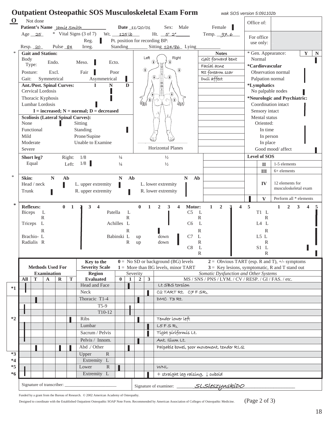|              |               |                                      |                         |                                  |             |                                            |                          |                                        |                                     | <b>Outpatient Osteopathic SOS Musculoskeletal Exam Form</b>    |                               | wak SOS version 5:091102b                                                                      |   |                                                          |                                                                     |
|--------------|---------------|--------------------------------------|-------------------------|----------------------------------|-------------|--------------------------------------------|--------------------------|----------------------------------------|-------------------------------------|----------------------------------------------------------------|-------------------------------|------------------------------------------------------------------------------------------------|---|----------------------------------------------------------|---------------------------------------------------------------------|
| $\mathbf{O}$ |               | Not done                             |                         |                                  |             |                                            |                          |                                        |                                     |                                                                |                               |                                                                                                |   | Office of:                                               |                                                                     |
|              |               |                                      |                         | Patient's Name Jamie Smith       |             |                                            |                          |                                        | Date_11/20/01                       | Sex: Male                                                      |                               | Female                                                                                         |   |                                                          |                                                                     |
|              |               | Age $25$                             |                         |                                  |             | $*$ Vital Signs (3 of 7)<br>Wt. 125 lb     |                          |                                        |                                     | Ht. $5'2'$                                                     |                               | Temp. 97.6                                                                                     |   | For office                                               |                                                                     |
|              |               |                                      |                         |                                  |             | Reg.                                       |                          |                                        |                                     | Pt. position for recording BP:                                 |                               |                                                                                                |   | use only:                                                |                                                                     |
|              |               | Resp. 20                             |                         | Pulse 84                         |             | Irreg.                                     | Standing                 |                                        |                                     | Sitting 124/86 Lying                                           |                               |                                                                                                |   |                                                          |                                                                     |
|              |               | <b>Gait and Station:</b>             |                         |                                  |             |                                            |                          |                                        |                                     | Left<br>Right                                                  |                               | <b>Notes</b>                                                                                   |   |                                                          | * Gen. Appearance:<br>$\mathbf Y$<br>${\bf N}$                      |
|              | <b>Body</b>   |                                      |                         | Endo.                            |             | Meso.<br>Ecto.                             |                          |                                        |                                     | ⊕                                                              |                               | Gait forward bent                                                                              |   | Normal                                                   |                                                                     |
|              |               | Type:                                |                         |                                  |             |                                            |                          |                                        |                                     | ⊕                                                              |                               | Facíal acne                                                                                    |   | *Cardiovascular                                          |                                                                     |
|              | Posture:      |                                      |                         | Excl.                            |             | Fair<br>Poor                               |                          |                                        |                                     | (₩).<br>Æ                                                      |                               | Rt forearm scar                                                                                |   |                                                          | Observation normal                                                  |
|              | Gait:         |                                      | Symmetrical             |                                  |             | Asymmetrical                               |                          |                                        |                                     |                                                                |                               | Dull affect                                                                                    |   | Palpation normal                                         |                                                                     |
|              |               | Cervical Lordosis                    |                         | <b>Ant./Post. Spinal Curves:</b> |             | $\mathbf N$<br>T                           |                          | $\mathbf D$                            |                                     | $\frac{10}{2}$                                                 |                               |                                                                                                |   | <i><b>*Lymphatics</b></i>                                | No palpable nodes                                                   |
|              |               |                                      |                         |                                  |             |                                            |                          |                                        |                                     |                                                                |                               |                                                                                                |   |                                                          | *Neurologic and Psychiatric:                                        |
|              |               | Thoracic Kyphosis<br>Lumbar Lordosis |                         |                                  |             |                                            |                          |                                        | uw                                  | <b>TO JUN</b><br>$\overline{\mathbb{R}}$                       |                               |                                                                                                |   |                                                          | Coordination intact                                                 |
|              |               |                                      |                         |                                  |             | $I = increased; N = normal; D = decreased$ |                          |                                        |                                     |                                                                |                               |                                                                                                |   | Sensory intact                                           |                                                                     |
|              |               |                                      |                         |                                  |             | <b>Scoliosis (Lateral Spinal Curves):</b>  |                          |                                        |                                     |                                                                |                               |                                                                                                |   | Mental status                                            |                                                                     |
|              | None          |                                      |                         |                                  |             | Sitting                                    |                          |                                        |                                     |                                                                |                               |                                                                                                |   | Oriented:                                                |                                                                     |
|              |               | Functional                           |                         |                                  |             | Standing                                   |                          |                                        |                                     |                                                                |                               |                                                                                                |   | In time                                                  |                                                                     |
|              | Mild          |                                      |                         |                                  |             | Prone/Supine                               |                          |                                        |                                     |                                                                |                               |                                                                                                |   | In person                                                |                                                                     |
|              |               | Moderate                             |                         |                                  |             | Unable to Examine                          |                          |                                        |                                     |                                                                |                               |                                                                                                |   | In place                                                 |                                                                     |
|              | Severe        |                                      |                         |                                  |             |                                            |                          |                                        |                                     | <b>Horizontal Planes</b>                                       |                               |                                                                                                |   |                                                          | Good mood/ affect                                                   |
|              |               | Short leg?                           |                         |                                  | Right:      | 1/8                                        | $\frac{1}{4}$            |                                        |                                     | $\frac{1}{2}$                                                  |                               |                                                                                                |   | Level of SOS                                             |                                                                     |
|              |               | Equal                                |                         |                                  | Left:       | 1/8                                        | $\frac{1}{4}$            |                                        |                                     | $\frac{1}{2}$                                                  |                               |                                                                                                |   | $\mathbf{I}$                                             | 1-5 elements                                                        |
|              |               |                                      |                         |                                  |             |                                            |                          |                                        |                                     |                                                                |                               |                                                                                                |   | III                                                      | $6+$ elements                                                       |
| ∗            | Skin:         |                                      | $\mathbf N$             |                                  | Ab          |                                            | $\mathbb N$              | Ab                                     |                                     |                                                                | $\mathbb N$<br>A <sub>b</sub> |                                                                                                |   |                                                          |                                                                     |
|              |               | Head / neck                          |                         |                                  |             | L. upper extremity                         |                          |                                        |                                     | L. lower extremity                                             |                               |                                                                                                |   | IV                                                       | 12 elements for                                                     |
|              | Trunk         |                                      |                         |                                  |             | R. upper extremity                         |                          |                                        |                                     | R. lower extremity                                             |                               |                                                                                                |   |                                                          | musculoskeletal exam                                                |
|              |               |                                      |                         |                                  |             |                                            |                          |                                        |                                     |                                                                |                               |                                                                                                |   | $\mathbf{V}$                                             | Perform all * elements                                              |
| ∗            |               | <b>Reflexes:</b>                     |                         |                                  | $0 \quad 1$ | $3\quad 4$<br>$\mathbf{a}$                 |                          |                                        | $\mathbf{0}$                        | 1<br>$\overline{2}$<br>$\mathbf{3}$<br>$\overline{\mathbf{4}}$ | Motor:                        | $\mathbf{1}$<br>$\overline{2}$<br>$\overline{\mathbf{4}}$                                      | 5 |                                                          | $\overline{2}$<br>3<br>$\mathbf{1}$<br>$\overline{\mathbf{4}}$<br>5 |
|              | <b>Biceps</b> | Triceps L<br>Brachio-L<br>Radialis R | L<br>$\mathbb{R}$<br>R  |                                  |             |                                            | Achilles L<br>Babinski L | $\mathbf{L}$<br>$\mathbb{R}$<br>R<br>R | up<br>up                            | down<br>down                                                   | C <sub>6</sub><br>C7<br>C8    | $\mathbb{R}$<br>L<br>R<br>L<br>$\mathbb{R}$<br>L                                               |   | $\mathbb{R}$<br>L4 L<br>$\mathbb{R}$<br>L5L<br>R<br>S1 L |                                                                     |
|              |               |                                      |                         |                                  |             |                                            |                          |                                        |                                     |                                                                |                               | $\mathbb{R}$                                                                                   |   | $\mathbb{R}$                                             |                                                                     |
|              |               |                                      |                         |                                  |             | Key to the                                 |                          |                                        |                                     | $\mathbf{0} =$ No SD or background (BG) levels                 |                               |                                                                                                |   |                                                          | $2 =$ Obvious TART (esp. R and T), +/- symptoms                     |
|              |               |                                      |                         | <b>Methods Used For</b>          |             | <b>Severity Scale</b>                      |                          |                                        |                                     | $1 =$ More than BG levels, minor TART                          |                               | $3 =$ Key lesions, symptomatic, R and T stand out                                              |   |                                                          |                                                                     |
|              | All           | T                                    | <b>Examination</b><br>A | R                                | T           | <b>Region</b><br><b>Evaluated</b>          | $\mathbf{0}$             | $\vert$ 1                              | Severity<br>$\overline{\mathbf{2}}$ | $\mathbf{3}$                                                   |                               | Somatic Dysfunction and Other Systems<br>MS / SNS / PNS / LYM. / CV / RESP. / GI / FAS. / etc. |   |                                                          |                                                                     |
|              |               |                                      |                         |                                  |             | Head and Face                              |                          |                                        |                                     | Lt SBS torsion                                                 |                               |                                                                                                |   |                                                          |                                                                     |
| $*1$         |               |                                      |                         |                                  |             | Neck                                       |                          |                                        |                                     | C2 TART Rt. C7 FSRL                                            |                               |                                                                                                |   |                                                          |                                                                     |
|              |               |                                      |                         |                                  |             | Thoracic T1-4                              |                          |                                        |                                     | DMC T3 Rt.                                                     |                               |                                                                                                |   |                                                          |                                                                     |
|              |               |                                      |                         |                                  |             | $T5-9$                                     |                          |                                        |                                     |                                                                |                               |                                                                                                |   |                                                          |                                                                     |
|              |               |                                      |                         |                                  |             | T10-12                                     |                          |                                        |                                     |                                                                |                               |                                                                                                |   |                                                          |                                                                     |
| $*2$         |               |                                      |                         |                                  |             | Ribs                                       |                          |                                        |                                     | Tender lower left                                              |                               |                                                                                                |   |                                                          |                                                                     |
|              |               |                                      |                         |                                  |             | Lumbar                                     |                          |                                        |                                     | L5FSRL                                                         |                               |                                                                                                |   |                                                          |                                                                     |
|              |               |                                      |                         |                                  |             | Sacrum / Pelvis                            |                          |                                        |                                     | Tight piriformis Lt.                                           |                               |                                                                                                |   |                                                          |                                                                     |
|              |               |                                      |                         |                                  |             | Pelvis / Innom.                            |                          |                                        |                                     | Ant. Ilíum Lt.                                                 |                               |                                                                                                |   |                                                          |                                                                     |
|              |               |                                      |                         |                                  |             | Abd ./ Other                               |                          |                                        |                                     |                                                                |                               | Palpable bowel, poor movement, tender RLQ                                                      |   |                                                          |                                                                     |
| $*3$         |               |                                      |                         |                                  |             | ${\bf R}$<br>Upper                         |                          |                                        |                                     |                                                                |                               |                                                                                                |   |                                                          |                                                                     |
| $*4$         |               |                                      |                         |                                  |             | Extremity L                                |                          |                                        |                                     |                                                                |                               |                                                                                                |   |                                                          |                                                                     |
| $*5$         |               |                                      |                         |                                  |             | Lower<br>$\mathbb{R}$                      |                          |                                        |                                     | WNL                                                            |                               |                                                                                                |   |                                                          |                                                                     |
| *6           |               |                                      |                         |                                  |             | Extremity L                                |                          |                                        |                                     | + straíght leg raising, I cuboid                               |                               |                                                                                                |   |                                                          |                                                                     |
|              |               |                                      |                         |                                  |             |                                            |                          |                                        |                                     |                                                                |                               |                                                                                                |   |                                                          |                                                                     |
|              |               |                                      |                         |                                  |             |                                            |                          |                                        |                                     |                                                                |                               |                                                                                                |   |                                                          |                                                                     |

Funded by a grant from the Bureau of Research.  $~\odot$  2002 American Academy of Osteopathy.

(Page 2 of 3) Designed to coordinate with the Established Outpatient Osteopathic SOAP Note Form. Recommended by American Association of Colleges of Osteopathic Medicine.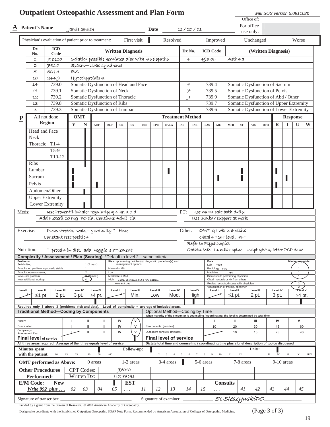|                                  |                                                  | <b>Outpatient Osteopathic Assessment and Plan Form</b>                                              |                          |                   |                                |                                                  |                   |                                   |              |                        |                                                                                                                                      |                |                 |                                                        |                  |                                                                              |                    |                    | wak SOS version 5:091102b              |                          |              |                                  |     |
|----------------------------------|--------------------------------------------------|-----------------------------------------------------------------------------------------------------|--------------------------|-------------------|--------------------------------|--------------------------------------------------|-------------------|-----------------------------------|--------------|------------------------|--------------------------------------------------------------------------------------------------------------------------------------|----------------|-----------------|--------------------------------------------------------|------------------|------------------------------------------------------------------------------|--------------------|--------------------|----------------------------------------|--------------------------|--------------|----------------------------------|-----|
|                                  |                                                  |                                                                                                     |                          |                   |                                |                                                  |                   |                                   |              |                        |                                                                                                                                      |                |                 |                                                        |                  |                                                                              |                    | Office of:         |                                        |                          |              |                                  |     |
|                                  | <b>Patient's Name</b>                            |                                                                                                     | <u>Iamíe Smíth</u>       |                   |                                |                                                  |                   |                                   |              | Date                   |                                                                                                                                      |                | 11 / 20 / 01    |                                                        |                  |                                                                              |                    | For office         |                                        |                          |              |                                  |     |
|                                  |                                                  |                                                                                                     |                          |                   |                                |                                                  |                   |                                   |              |                        |                                                                                                                                      |                |                 |                                                        |                  |                                                                              |                    | use only:          |                                        |                          |              |                                  |     |
|                                  |                                                  | Physician's evaluation of patient prior to treatment:                                               |                          |                   |                                |                                                  |                   | First visit                       |              |                        | Resolved                                                                                                                             |                |                 |                                                        | Improved         |                                                                              |                    | Unchanged          |                                        |                          |              | Worse                            |     |
|                                  | Dx                                               | <b>ICD</b>                                                                                          |                          |                   |                                |                                                  |                   |                                   |              |                        |                                                                                                                                      |                |                 |                                                        |                  |                                                                              |                    |                    |                                        |                          |              |                                  |     |
|                                  | No.                                              | Code                                                                                                |                          |                   |                                |                                                  |                   | <b>Written Diagnosis</b>          |              |                        |                                                                                                                                      |                | Dx No.          | <b>ICD Code</b>                                        |                  |                                                                              |                    |                    | (Written Diagnosis)                    |                          |              |                                  |     |
|                                  | $\mathbf{1}$                                     | 722.10                                                                                              |                          |                   |                                | Scíatica possible herniated disc with myelopathy |                   |                                   |              |                        |                                                                                                                                      |                | 6               | 493.00                                                 |                  | Asthma                                                                       |                    |                    |                                        |                          |              |                                  |     |
|                                  | 2                                                | 781.0                                                                                               |                          |                   |                                | Spasm-psoas syndrome                             |                   |                                   |              |                        |                                                                                                                                      |                |                 |                                                        |                  |                                                                              |                    |                    |                                        |                          |              |                                  |     |
|                                  | 5                                                | 564.1                                                                                               | <b>IBS</b>               |                   |                                |                                                  |                   |                                   |              |                        |                                                                                                                                      |                |                 |                                                        |                  |                                                                              |                    |                    |                                        |                          |              |                                  |     |
|                                  | 10<br>14                                         | 244.9<br>739.0                                                                                      |                          |                   | Hypothyroídísm                 | Somatic Dysfunction of Head and Face             |                   |                                   |              |                        |                                                                                                                                      |                | 4               | 739.4                                                  |                  |                                                                              |                    |                    | Somatic Dysfunction of Sacrum          |                          |              |                                  |     |
|                                  | 11                                               | 739.1                                                                                               |                          |                   |                                | Somatic Dysfunction of Neck                      |                   |                                   |              |                        |                                                                                                                                      |                | $\neq$          | 739.5                                                  |                  |                                                                              |                    |                    | Somatic Dysfunction of Pelvis          |                          |              |                                  |     |
|                                  | 12                                               | 739.2                                                                                               |                          |                   |                                | Somatic Dysfunction of Thoracic                  |                   |                                   |              |                        |                                                                                                                                      |                | 9               | 739.9                                                  |                  |                                                                              |                    |                    | Somatic Dysfunction of Abd / Other     |                          |              |                                  |     |
|                                  | 13                                               | 739.8                                                                                               |                          |                   |                                | Somatic Dysfunction of Ribs                      |                   |                                   |              |                        |                                                                                                                                      |                |                 | 739.7                                                  |                  |                                                                              |                    |                    | Somatic Dysfunction of Upper Extremity |                          |              |                                  |     |
|                                  | 3                                                | 739.3                                                                                               |                          |                   |                                | Somatic Dysfunction of Lumbar                    |                   |                                   |              |                        |                                                                                                                                      |                | 8               | 739.6                                                  |                  |                                                                              |                    |                    | Somatic Dysfunction of Lower Extremity |                          |              |                                  |     |
| $\mathbf P$                      |                                                  | All not done                                                                                        |                          | <b>OMT</b>        |                                |                                                  |                   |                                   |              |                        | <b>Treatment Method</b>                                                                                                              |                |                 |                                                        |                  |                                                                              |                    |                    |                                        |                          |              | <b>Response</b>                  |     |
|                                  |                                                  | <b>Region</b>                                                                                       | $\mathbf{Y}$             | $\mathbb N$       | $\bf ART$                      | <b>BLT</b>                                       | $_{\rm CR}$       | $\mathbf{C}\mathbf{S}$            | $_{\rm DIR}$ | <b>FPR</b>             | <b>HVLA</b>                                                                                                                          | $\mathbf{IND}$ | $_{\rm INR}$    | LAS                                                    | $\rm ME$         | $\operatorname*{MFR}$                                                        | ${\cal S}{\cal T}$ | <b>VIS</b>         | <b>OTH</b>                             | $\bf{R}$                 | П            | U                                | W   |
|                                  | Head and Face                                    |                                                                                                     |                          |                   |                                |                                                  |                   |                                   |              |                        |                                                                                                                                      |                |                 |                                                        |                  |                                                                              |                    |                    |                                        |                          |              |                                  |     |
|                                  | Neck                                             |                                                                                                     |                          |                   |                                |                                                  |                   |                                   |              |                        |                                                                                                                                      |                |                 |                                                        |                  |                                                                              |                    |                    |                                        |                          |              |                                  |     |
|                                  | Thoracic                                         | $T1-4$                                                                                              |                          |                   |                                |                                                  |                   |                                   |              |                        |                                                                                                                                      |                |                 |                                                        |                  |                                                                              |                    |                    |                                        |                          |              |                                  |     |
|                                  |                                                  | $T5-9$                                                                                              |                          |                   |                                |                                                  |                   |                                   |              |                        |                                                                                                                                      |                |                 |                                                        |                  |                                                                              |                    |                    |                                        |                          |              |                                  |     |
|                                  |                                                  | T10-12                                                                                              |                          |                   |                                |                                                  |                   |                                   |              |                        |                                                                                                                                      |                |                 |                                                        |                  |                                                                              |                    |                    |                                        |                          |              |                                  |     |
|                                  | <b>Ribs</b>                                      |                                                                                                     |                          |                   |                                |                                                  |                   |                                   |              |                        |                                                                                                                                      |                |                 |                                                        |                  |                                                                              |                    |                    |                                        |                          |              |                                  |     |
|                                  | Lumbar                                           |                                                                                                     |                          |                   |                                |                                                  |                   |                                   |              |                        |                                                                                                                                      |                |                 |                                                        |                  |                                                                              |                    |                    |                                        |                          |              |                                  |     |
|                                  | Sacrum                                           |                                                                                                     |                          |                   |                                |                                                  |                   |                                   |              |                        |                                                                                                                                      |                |                 |                                                        |                  |                                                                              |                    |                    |                                        |                          |              |                                  |     |
|                                  | Pelvis                                           |                                                                                                     |                          |                   |                                |                                                  |                   |                                   |              |                        |                                                                                                                                      |                |                 |                                                        |                  |                                                                              |                    |                    |                                        |                          |              |                                  |     |
|                                  |                                                  | Abdomen/Other                                                                                       |                          |                   |                                |                                                  |                   |                                   |              |                        |                                                                                                                                      |                |                 |                                                        |                  |                                                                              |                    |                    |                                        |                          |              |                                  |     |
|                                  |                                                  | <b>Upper Extremity</b>                                                                              |                          |                   |                                |                                                  |                   |                                   |              |                        |                                                                                                                                      |                |                 |                                                        |                  |                                                                              |                    |                    |                                        |                          |              |                                  |     |
|                                  |                                                  | Lower Extremity                                                                                     |                          |                   |                                |                                                  |                   |                                   |              |                        |                                                                                                                                      |                |                 |                                                        |                  |                                                                              |                    |                    |                                        |                          |              |                                  |     |
| Meds:                            |                                                  | use Proventil inhaler regularly q 4 hr. x 3 d<br>Add Flexeril 10 mg PO tid, Continue Advil tid      |                          |                   |                                |                                                  |                   |                                   |              |                        |                                                                                                                                      | PT:            |                 | use warm salt bath daily<br>use lumbar support at work |                  |                                                                              |                    |                    |                                        |                          |              |                                  |     |
|                                  |                                                  |                                                                                                     |                          |                   |                                |                                                  |                   |                                   |              |                        |                                                                                                                                      |                |                 |                                                        |                  |                                                                              |                    |                    |                                        |                          |              |                                  |     |
|                                  | Exercise:                                        | Psoas stretch, walk-gradually $\uparrow$ time                                                       |                          |                   |                                |                                                  |                   |                                   |              |                        |                                                                                                                                      | Other:         |                 | OMT q I wk x 6 visits                                  |                  |                                                                              |                    |                    |                                        |                          |              |                                  |     |
|                                  |                                                  | Constant rest position                                                                              |                          |                   |                                |                                                  |                   |                                   |              |                        |                                                                                                                                      |                |                 | Obtain TSH level, PFT                                  |                  |                                                                              |                    |                    |                                        |                          |              |                                  |     |
|                                  |                                                  |                                                                                                     |                          |                   |                                |                                                  |                   |                                   |              |                        |                                                                                                                                      |                |                 | Refer to Psychologist                                  |                  |                                                                              |                    |                    |                                        |                          |              |                                  |     |
|                                  | Nutrition:                                       | 1 protein in diet, add veggie supplement                                                            |                          |                   |                                |                                                  |                   |                                   |              |                        |                                                                                                                                      |                |                 | Obtain MRI Lumbar spine-script given, letter PCP done  |                  |                                                                              |                    |                    |                                        |                          |              |                                  |     |
|                                  |                                                  | Complexity / Assessment / Plan (Scoring) *Default to level 2—same criteria                          |                          |                   |                                |                                                  |                   |                                   |              |                        |                                                                                                                                      |                |                 |                                                        |                  |                                                                              |                    |                    |                                        |                          |              |                                  |     |
| <b>Problems</b><br>Self-limiting |                                                  |                                                                                                     |                          |                   | 1(2 max.)                      |                                                  |                   | management options                |              |                        | Risk: (presenting problem(s), diagnostic procedure(s) and                                                                            |                |                 | Data<br>Lab                                            | <b>TSH</b>       |                                                                              |                    |                    |                                        |                          |              | Maximum-points                   |     |
|                                  | Established-worsening                            | Established problem improved / stable                                                               |                          | $\overline{2}$    |                                | $Minimal = Min$ .<br>Low                         |                   |                                   |              |                        |                                                                                                                                      |                |                 | Medicine                                               | Radiology<br>MRI | PFT                                                                          |                    |                    |                                        |                          |              | $\mathbf{1}$                     |     |
|                                  | New-not problem<br>New additional workup         |                                                                                                     |                          | $\overline{4}$    | <del>-3 (</del> 3 max.)        | High                                             | $Moderate = Mod.$ | Meds, 3 chronic and 1 new problem |              |                        |                                                                                                                                      |                |                 |                                                        |                  | Discuss with performing physician<br>Obtain records or Hx from others        |                    |                    |                                        |                          |              | $\mathbf{1}$                     |     |
|                                  |                                                  |                                                                                                     |                          |                   |                                |                                                  | MRI and Lab       |                                   |              |                        |                                                                                                                                      |                |                 |                                                        |                  | Review records, discuss with physician<br>Visualization of tracing, specimen |                    |                    |                                        |                          |              | $\overline{2}$<br>$\overline{2}$ |     |
| Level I                          | Level II<br>≤1 pt.                               | Level III<br>2 pt.                                                                                  | <b>Level IV</b><br>3 pt. |                   | <b>Level V</b><br>$\geq$ 4 pt. | Level I                                          |                   | Level II<br>Min.                  |              | Level III<br>Low       | <b>Level IV</b><br>Mod.                                                                                                              |                | Level V<br>High |                                                        | Level I          | Level II<br>≤1 pt.                                                           |                    | Level III<br>2 pt. |                                        | <b>Level IV</b><br>3 pt. |              | Level V<br>$\geq$ 4 pt.          |     |
|                                  |                                                  |                                                                                                     |                          |                   |                                |                                                  |                   |                                   |              |                        |                                                                                                                                      |                |                 |                                                        |                  |                                                                              |                    |                    |                                        |                          |              |                                  |     |
|                                  |                                                  | Requires only 3 above 3 (problems, risk and data). Level of complexity = average of included areas. |                          |                   |                                |                                                  |                   |                                   |              |                        |                                                                                                                                      |                |                 |                                                        |                  |                                                                              |                    |                    |                                        |                          |              |                                  |     |
|                                  |                                                  | <b>Traditional Method-Coding by Components</b>                                                      |                          |                   |                                |                                                  |                   |                                   |              |                        | Optional Method—Coding by Time<br>When majority of the encounter is counseling / coordinating, the level is determined by total time |                |                 |                                                        |                  |                                                                              |                    |                    |                                        |                          |              |                                  |     |
| History                          |                                                  |                                                                                                     | п                        | Ш                 |                                | Ш                                                | IV                | <b>V</b>                          |              |                        |                                                                                                                                      |                |                 |                                                        |                  | Ш                                                                            |                    | Ш                  |                                        | IV                       |              | v                                |     |
| Examination<br>Complexity /      |                                                  |                                                                                                     | $\mathbf{I}$             | Ш                 |                                | Ш                                                | IV                | $\mathsf{v}$                      |              | New patients (minutes) |                                                                                                                                      |                |                 |                                                        | 10               | 20                                                                           |                    | 30                 |                                        | 45                       |              | 60                               |     |
|                                  | Assessment Plan<br><b>Final level of service</b> |                                                                                                     |                          | Ш                 |                                | Ш                                                | IV                | $\mathsf{v}$                      |              |                        | Outpatient consults (minutes)<br><b>Final level of service</b>                                                                       |                |                 |                                                        |                  | 10                                                                           |                    | 15                 |                                        | 25                       |              | 40                               |     |
|                                  |                                                  | All three areas required. Average of the three equals level of service.                             |                          |                   |                                |                                                  |                   |                                   |              |                        | Dictate total time and counseling / coordinating time plus a brief description of topics discussed                                   |                |                 |                                                        |                  |                                                                              |                    |                    |                                        |                          |              |                                  |     |
|                                  | <b>Minutes</b> spent                             |                                                                                                     |                          |                   |                                |                                                  |                   | Follow-up:                        |              |                        |                                                                                                                                      |                |                 |                                                        |                  |                                                                              |                    | Units:             |                                        |                          |              |                                  |     |
|                                  | with the patient:                                | 10                                                                                                  | 15<br>25                 | 40                | 60                             | $>60$                                            |                   |                                   |              |                        | $2 \qquad 3 \qquad 4 \qquad 5 \qquad 6 \qquad 7 \qquad 8 \qquad 9 \qquad 10$                                                         |                |                 |                                                        |                  | 11                                                                           | 12                 |                    | D                                      | W                        | M            | Y                                | PRN |
|                                  |                                                  | <b>OMT</b> performed as Above:                                                                      |                          |                   | 0 areas                        |                                                  |                   | 1-2 areas                         |              |                        | 3-4 areas                                                                                                                            |                |                 | 5-6 areas                                              |                  |                                                                              | 7-8 areas          |                    |                                        |                          | $9-10$ areas |                                  |     |
|                                  | <b>Other Procedures</b>                          |                                                                                                     |                          | <b>CPT</b> Codes: |                                |                                                  | 97010             |                                   |              |                        |                                                                                                                                      |                |                 |                                                        |                  |                                                                              |                    |                    |                                        |                          |              |                                  |     |
|                                  | Performed:                                       |                                                                                                     |                          | Written Dx:       |                                |                                                  | Hot Packs         |                                   |              |                        |                                                                                                                                      |                |                 |                                                        |                  |                                                                              |                    |                    |                                        |                          |              |                                  |     |
|                                  | E/M Code:                                        | <b>New</b>                                                                                          |                          |                   |                                |                                                  |                   | <b>EST</b>                        |              |                        |                                                                                                                                      |                |                 |                                                        | <b>Consults</b>  |                                                                              |                    |                    |                                        |                          |              |                                  |     |
|                                  |                                                  | Write 992 plus                                                                                      | 02                       | 03                | 04                             | 05                                               |                   | $\ldots$ .                        | 11           | 12                     | 13                                                                                                                                   |                | 14              | 15                                                     |                  |                                                                              | 41                 | 42                 |                                        | 43                       | 44           | 45                               |     |
|                                  |                                                  | Signature of transcriber:                                                                           |                          |                   |                                |                                                  |                   |                                   |              |                        | Signature of examiner: ______                                                                                                        |                |                 |                                                        |                  | <u>SLSIeszynskíDO</u>                                                        |                    |                    |                                        |                          |              |                                  |     |

Funded by a grant from the Bureau of Research. © 2002 American Academy of Osteopathy.

Designed to coordinate with the Established Outpatient Osteopathic SOAP Note Form. Recommended by American Association of Colleges of Osteopathic Medicine. (Page 3 of 3)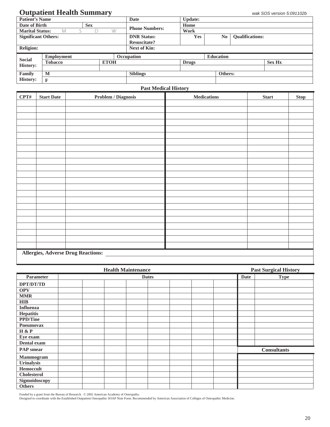## **Outpatient Health Summary** *wak SOS version 5:091102b*

| <b>Patient's Name</b>      |                   |            |             | Date                  | Update:      |                  |                        |               |
|----------------------------|-------------------|------------|-------------|-----------------------|--------------|------------------|------------------------|---------------|
| Date of Birth              |                   | <b>Sex</b> |             |                       | Home         |                  |                        |               |
| <b>Marital Status:</b>     | M                 | D          | W           | <b>Phone Numbers:</b> | Work         |                  |                        |               |
| <b>Significant Others:</b> |                   |            |             | <b>DNR Status:</b>    | <b>Yes</b>   | No.              | <b>Oualifications:</b> |               |
|                            |                   |            |             | <b>Resuscitate?</b>   |              |                  |                        |               |
| <b>Religion:</b>           |                   |            |             | <b>Next of Kin:</b>   |              |                  |                        |               |
|                            |                   |            |             |                       |              |                  |                        |               |
|                            | <b>Employment</b> |            |             | Occupation            |              | <b>Education</b> |                        |               |
| <b>Social</b>              | <b>Tobacco</b>    |            | <b>ETOH</b> |                       | <b>Drugs</b> |                  |                        | <b>Sex Hx</b> |
| <b>History:</b>            |                   |            |             |                       |              |                  |                        |               |
| Family                     | M                 |            |             | <b>Siblings</b>       |              | Others:          |                        |               |

#### **Past Medical History**

| CPT# | <b>Start Date</b> | <b>Problem / Diagnosis</b>                | $\large \bf Medications$ | <b>Start</b> | <b>Stop</b> |
|------|-------------------|-------------------------------------------|--------------------------|--------------|-------------|
|      |                   |                                           |                          |              |             |
|      |                   |                                           |                          |              |             |
|      |                   |                                           |                          |              |             |
|      |                   |                                           |                          |              |             |
|      |                   |                                           |                          |              |             |
|      |                   |                                           |                          |              |             |
|      |                   |                                           |                          |              |             |
|      |                   |                                           |                          |              |             |
|      |                   |                                           |                          |              |             |
|      |                   |                                           |                          |              |             |
|      |                   |                                           |                          |              |             |
|      |                   |                                           |                          |              |             |
|      |                   |                                           |                          |              |             |
|      |                   |                                           |                          |              |             |
|      |                   |                                           |                          |              |             |
|      |                   |                                           |                          |              |             |
|      |                   |                                           |                          |              |             |
|      |                   |                                           |                          |              |             |
|      |                   |                                           |                          |              |             |
|      |                   |                                           |                          |              |             |
|      |                   |                                           |                          |              |             |
|      |                   |                                           |                          |              |             |
|      |                   |                                           |                          |              |             |
|      |                   | <b>Allergies, Adverse Drug Reactions:</b> |                          |              |             |

|                    | <b>Health Maintenance</b> |             |             | <b>Past Surgical History</b> |                    |  |  |  |  |  |
|--------------------|---------------------------|-------------|-------------|------------------------------|--------------------|--|--|--|--|--|
| Parameter          | <b>Dates</b>              | <b>Date</b> | <b>Type</b> |                              |                    |  |  |  |  |  |
| DPT/DT/TD          |                           |             |             |                              |                    |  |  |  |  |  |
| <b>OPV</b>         |                           |             |             |                              |                    |  |  |  |  |  |
| <b>MMR</b>         |                           |             |             |                              |                    |  |  |  |  |  |
| <b>HIB</b>         |                           |             |             |                              |                    |  |  |  |  |  |
| <b>Influenza</b>   |                           |             |             |                              |                    |  |  |  |  |  |
| Hepatitis          |                           |             |             |                              |                    |  |  |  |  |  |
| <b>PPD/Tine</b>    |                           |             |             |                              |                    |  |  |  |  |  |
| Pneumovax          |                           |             |             |                              |                    |  |  |  |  |  |
| H & P              |                           |             |             |                              |                    |  |  |  |  |  |
| Eye exam           |                           |             |             |                              |                    |  |  |  |  |  |
| Dental exam        |                           |             |             |                              |                    |  |  |  |  |  |
| <b>PAP</b> smear   |                           |             |             |                              | <b>Consultants</b> |  |  |  |  |  |
| Mammogram          |                           |             |             |                              |                    |  |  |  |  |  |
| Urinalysis         |                           |             |             |                              |                    |  |  |  |  |  |
| Hemoccult          |                           |             |             |                              |                    |  |  |  |  |  |
| <b>Cholesterol</b> |                           |             |             |                              |                    |  |  |  |  |  |
| Sigmoidoscopy      |                           |             |             |                              |                    |  |  |  |  |  |
| <b>Others</b>      |                           |             |             |                              |                    |  |  |  |  |  |

Funded by a grant from the Bureau of Research. © 2002 American Academy of Osteopathy.<br>Designed to coordinate with the Established Outpatient Osteopathic SOAP Note Form. Recommended by American Association of Colleges of Os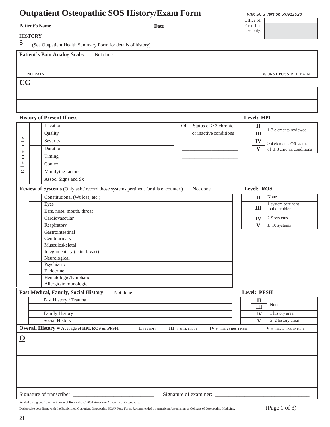## **Outpatient Osteopathic SOS History/Exam Form** *wak SOS version 5:091102b*

WORST POSSIBLE PAIN

|                       |      | ∩ff<br>$\sim$            |
|-----------------------|------|--------------------------|
| <b>Patient's Name</b> | Date | $\sim$<br>⊨`∩r<br>office |
|                       |      | use only:                |

**HISTORY** 

**S** (See Outpatient Health Summary Form for details of history)

Patient's Pain Analog Scale: Not done

| 1 auvin 5 1 am Anaive Deale |
|-----------------------------|
|                             |
| <b>NO PAIN</b>              |
| CC                          |
|                             |
|                             |

#### **History of Present Illness Level: HPI**Location OR Status of  $\geq 3$  chronic **II**  1-3 elements reviewed Quality **Quality** or inactive conditions **III III**  $\omega$  **Elements**  $S$ everity  $\overline{\phantom{a}}$  $\left| \mathbf{IV} \right|$   $\geq 4$  elements OR status ت  $\blacksquare$ Duration  $\mathbf{V}$  of  $\geq 3$  chronic conditions  $\bullet$  Timing \_\_\_\_\_\_\_\_\_\_\_\_\_\_\_\_\_\_\_\_\_\_\_  $\Xi$  $\bullet$  Context - $\Xi$  Modifying factors Assoc. Signs and Sx **Review of Systems** (Only ask / record those systems pertinent for this encounter.) Not done **Level: ROS**  Constitutional (Wt loss, etc.)<br>
Eyes **II** None **II** None **I** is system pertinent Eyes Eyes **III** a system pertinent **III**  $\begin{bmatrix} 1 \text{ system} \\ 1 \text{ to the problem } \end{bmatrix}$  $\frac{\text{Eigs}}{\text{Bars}}$ , nose, mouth, throat  $\begin{bmatrix} \text{Eigs} & \text{Eigs} \\ \text{Bars} & \text{Eigs} \end{bmatrix}$  to the problem **Cardiovascular IV**  $2$ -9 systems Respiratory  $V \geq 10$  systems **Gastrointestinal**  Genitourinary Musculoskeletal Integumentary (skin, breast) Neurological Psychiatric Endocrine Hematologic/lymphatic Allergic/immunologic **Past Medical, Family, Social History** Not done **Level: PFSH Level: PFSH**  Past History / Trauma **II**  None **III Family History IV** 1 history area Social History **v**  $\downarrow$  2 history areas **Overall History = Average of HPI, ROS or PFSH:**  $II$  (1-3 HPI)  $III$  (1-3 HPI, 1 ROS)  $IV$  (4+ HPI, 2-9 ROS, 1 PFSH)  $V$  (4+ HPI, 10+ ROS, 2+ PFSH) **O**  Signature of transcriber: \_\_\_\_\_\_\_\_\_\_\_\_\_\_\_\_\_\_\_\_\_\_\_\_\_\_\_\_\_\_ Signature of examiner: \_\_\_\_\_\_\_\_\_\_\_\_\_\_\_\_\_\_\_\_\_\_\_\_\_\_\_\_\_\_\_\_\_\_\_

Funded by a grant from the Bureau of Research.  $\oslash$  2002 American Academy of Osteopathy.

Designed to coordinate with the Established Outpatient Osteopathic SOAP Note Form. Recommended by American Association of Colleges of Osteopathic Medicine. (Page 1 of 3)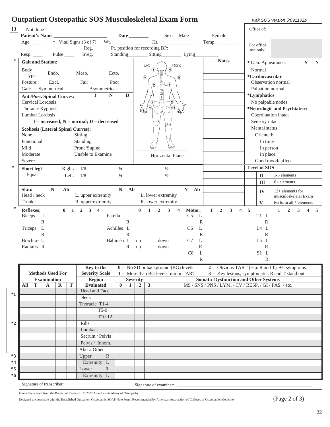|          |                                                       |                              |                    |                                  |              | <b>Outpatient Osteopathic SOS Musculoskeletal Exam Form</b> |               |              |                 |                         |                                  |                                                     |                                                                                                   |                                                     |                        | wak SOS version 5:091102b                        |                         |                |
|----------|-------------------------------------------------------|------------------------------|--------------------|----------------------------------|--------------|-------------------------------------------------------------|---------------|--------------|-----------------|-------------------------|----------------------------------|-----------------------------------------------------|---------------------------------------------------------------------------------------------------|-----------------------------------------------------|------------------------|--------------------------------------------------|-------------------------|----------------|
| $\Omega$ |                                                       | Not done                     |                    |                                  |              |                                                             |               |              |                 |                         |                                  |                                                     |                                                                                                   |                                                     | Office of:             |                                                  |                         |                |
|          |                                                       |                              |                    |                                  |              | Patient's Name                                              |               |              |                 |                         |                                  | Sex: Male                                           | Female                                                                                            |                                                     |                        |                                                  |                         |                |
|          |                                                       | $Age$ <sub>________</sub>    |                    |                                  |              | * Vital Signs (3 of 7)                                      |               |              |                 |                         |                                  | Ht.                                                 | Temp.                                                                                             |                                                     | For office             |                                                  |                         |                |
|          |                                                       |                              |                    |                                  |              | Reg.                                                        |               |              |                 |                         | Pt. position for recording BP:   |                                                     |                                                                                                   |                                                     | use only:              |                                                  |                         |                |
|          |                                                       | Resp.                        |                    |                                  |              | Irreg.                                                      |               |              |                 |                         |                                  | Standing Sitting Lying                              |                                                                                                   |                                                     |                        |                                                  |                         |                |
| *        |                                                       | <b>Gait and Station:</b>     |                    |                                  |              |                                                             |               |              |                 | Left                    |                                  | Right                                               | <b>Notes</b>                                                                                      |                                                     |                        | * Gen. Appearance:                               | $\mathbf Y$             | $\mathbf N$    |
|          | <b>Body</b>                                           |                              |                    |                                  |              |                                                             |               |              |                 | ₩                       | ₩                                |                                                     |                                                                                                   |                                                     | Normal                 |                                                  |                         |                |
|          | Type:                                                 |                              | Endo.              |                                  |              | Meso.<br>Ecto.                                              |               |              |                 | $\bigcirc$              |                                  | ₩                                                   |                                                                                                   |                                                     | *Cardiovascular        |                                                  |                         |                |
|          | Posture:                                              |                              |                    | Excl.                            |              | Fair<br>Poor                                                |               |              |                 |                         |                                  |                                                     |                                                                                                   |                                                     |                        | Observation normal                               |                         |                |
|          | Gait:                                                 |                              | Symmetrical        |                                  |              | Asymmetrical                                                |               |              |                 |                         |                                  |                                                     |                                                                                                   |                                                     | Palpation normal       |                                                  |                         |                |
|          |                                                       |                              |                    | <b>Ant./Post. Spinal Curves:</b> |              | $\mathbf{I}$<br>${\bf N}$                                   |               | D            |                 |                         | $\frac{10}{12}$                  |                                                     |                                                                                                   |                                                     | *Lymphatics            |                                                  |                         |                |
|          |                                                       | Cervical Lordosis            |                    |                                  |              |                                                             |               |              |                 |                         |                                  |                                                     |                                                                                                   |                                                     |                        | No palpable nodes                                |                         |                |
|          |                                                       | Thoracic Kyphosis            |                    |                                  |              |                                                             |               |              | UM              |                         |                                  | <b>TO JUN</b>                                       |                                                                                                   |                                                     |                        | *Neurologic and Psychiatric:                     |                         |                |
|          |                                                       | Lumbar Lordosis              |                    |                                  |              |                                                             |               |              |                 |                         |                                  |                                                     |                                                                                                   |                                                     |                        | Coordination intact                              |                         |                |
|          |                                                       |                              |                    |                                  |              | $I = increased; N = normal; D = decreased$                  |               |              |                 |                         |                                  |                                                     |                                                                                                   |                                                     | Sensory intact         |                                                  |                         |                |
|          |                                                       |                              |                    |                                  |              | <b>Scoliosis (Lateral Spinal Curves):</b>                   |               |              |                 |                         |                                  |                                                     |                                                                                                   |                                                     | Mental status          |                                                  |                         |                |
|          | None                                                  |                              |                    |                                  |              | Sitting                                                     |               |              |                 |                         |                                  |                                                     |                                                                                                   |                                                     | Oriented:              |                                                  |                         |                |
|          | Functional<br>Standing                                |                              |                    |                                  |              |                                                             |               |              |                 |                         |                                  |                                                     |                                                                                                   |                                                     | In time                |                                                  |                         |                |
|          | Mild<br>Prone/Supine<br>Unable to Examine<br>Moderate |                              |                    |                                  |              |                                                             |               |              |                 |                         |                                  |                                                     |                                                                                                   |                                                     | In person              |                                                  |                         |                |
|          | Severe                                                |                              |                    |                                  |              |                                                             |               |              |                 |                         | Horizontal Planes                |                                                     |                                                                                                   |                                                     | In place               | Good mood/ affect                                |                         |                |
| *        |                                                       |                              |                    |                                  |              |                                                             |               |              |                 |                         |                                  |                                                     |                                                                                                   |                                                     | <b>Level of SOS</b>    |                                                  |                         |                |
|          |                                                       | Short leg?<br>Equal          |                    |                                  | Right: $1/8$ |                                                             | $\frac{1}{4}$ |              |                 |                         | $\frac{1}{2}$                    |                                                     |                                                                                                   |                                                     |                        |                                                  |                         |                |
|          |                                                       |                              |                    |                                  | Left: $1/8$  |                                                             | $\frac{1}{4}$ |              |                 |                         | $\frac{1}{2}$                    |                                                     |                                                                                                   |                                                     | $\mathbf{I}\mathbf{I}$ | 1-5 elements                                     |                         |                |
|          |                                                       |                              |                    |                                  |              |                                                             |               |              |                 |                         |                                  |                                                     |                                                                                                   |                                                     | III                    | $6+$ elements                                    |                         |                |
|          | Skin:                                                 | Head / neck                  | $\mathbf N$        |                                  | Ab           | L. upper extremity                                          | $N_{\odot}$   | Ab           |                 |                         | L. lower extremity               | $N$ Ab                                              |                                                                                                   |                                                     | IV                     | $12+$ elements for                               |                         |                |
|          | Trunk                                                 |                              |                    |                                  |              | R. upper extremity                                          |               |              |                 |                         | R. lower extremity               |                                                     |                                                                                                   |                                                     | $\mathbf{V}$           | musculoskeletal Exam<br>Perform all * elements   |                         |                |
| *        |                                                       |                              |                    |                                  |              |                                                             |               |              |                 |                         |                                  |                                                     |                                                                                                   |                                                     |                        |                                                  |                         |                |
|          |                                                       | <b>Reflexes:</b><br>Biceps L |                    |                                  |              | $0 \t1 \t2 \t3 \t4$<br>Patella                              |               | L            | $\mathbf{0}$    | $\mathbf{1}$            | $\overline{2}$<br>3 <sup>7</sup> | Motor:<br>$\overline{\mathbf{4}}$<br>C <sub>5</sub> | $\mathbf{1}$<br>$\overline{2}$<br>$\mathbf{3}$<br>$\mathbf{L}$                                    | $\overline{\mathbf{4}}$<br>$\overline{\phantom{0}}$ | T1 L                   | $\overline{2}$<br>$\overline{3}$<br>$\mathbf{1}$ | $\overline{\mathbf{4}}$ | $\overline{5}$ |
|          |                                                       |                              | $\mathbb{R}$       |                                  |              |                                                             |               | $\mathbb{R}$ |                 |                         |                                  |                                                     | $\mathbb{R}$                                                                                      |                                                     | $\mathbb{R}$           |                                                  |                         |                |
|          |                                                       | Triceps L                    |                    |                                  |              |                                                             | Achilles L    |              |                 |                         |                                  | C <sub>6</sub>                                      | L                                                                                                 |                                                     | IAL                    |                                                  |                         |                |
|          |                                                       |                              | $\mathbb{R}$       |                                  |              |                                                             |               | $\mathbb{R}$ |                 |                         |                                  |                                                     | $\mathbb{R}$                                                                                      |                                                     | $\mathbb{R}$           |                                                  |                         |                |
|          |                                                       | Brachio-L                    |                    |                                  |              |                                                             | Babinski L    |              | up              |                         | down                             | C7                                                  | L                                                                                                 |                                                     | L5 L                   |                                                  |                         |                |
|          |                                                       | Radialis R                   |                    |                                  |              |                                                             |               | $\mathbb{R}$ | up              |                         | down                             |                                                     | $\mathbb{R}$                                                                                      |                                                     | R                      |                                                  |                         |                |
|          |                                                       |                              |                    |                                  |              |                                                             |               |              |                 |                         |                                  | C8                                                  | $\mathbf{L}$                                                                                      |                                                     | $S1$ L                 |                                                  |                         |                |
|          |                                                       |                              |                    |                                  |              |                                                             |               |              |                 |                         |                                  |                                                     | R                                                                                                 |                                                     | $\mathbb{R}$           |                                                  |                         |                |
|          |                                                       |                              |                    |                                  |              | Key to the                                                  |               |              |                 |                         |                                  | $0 = No SD$ or background (BG) levels               | $2 =$ Obvious TART (esp. R and T), +/- symptoms                                                   |                                                     |                        |                                                  |                         |                |
|          |                                                       |                              | <b>Examination</b> | <b>Methods Used For</b>          |              | <b>Severity Scale</b><br><b>Region</b>                      |               |              | <b>Severity</b> |                         |                                  | $1 =$ More than BG levels, minor TART               | $3 =$ Key lesions, symptomatic, R and T stand out<br><b>Somatic Dysfunction and Other Systems</b> |                                                     |                        |                                                  |                         |                |
|          | All                                                   | T                            | $\mathbf A$        | ${\bf R}$                        | $\mathbf T$  | <b>Evaluated</b>                                            | $\mathbf{0}$  | 1            | $\overline{2}$  | $\overline{\mathbf{3}}$ |                                  |                                                     | MS / SNS / PNS / LYM. / CV / RESP. / GI / FAS. / etc.                                             |                                                     |                        |                                                  |                         |                |
|          |                                                       |                              |                    |                                  |              | Head and Face                                               |               |              |                 |                         |                                  |                                                     |                                                                                                   |                                                     |                        |                                                  |                         |                |
| $^*1$    |                                                       |                              |                    |                                  |              | Neck                                                        |               |              |                 |                         |                                  |                                                     |                                                                                                   |                                                     |                        |                                                  |                         |                |
|          |                                                       |                              |                    |                                  |              | Thoracic T1-4                                               |               |              |                 |                         |                                  |                                                     |                                                                                                   |                                                     |                        |                                                  |                         |                |
|          |                                                       |                              |                    |                                  |              | $T5-9$                                                      |               |              |                 |                         |                                  |                                                     |                                                                                                   |                                                     |                        |                                                  |                         |                |
|          |                                                       |                              |                    |                                  |              | $T10-12$                                                    |               |              |                 |                         |                                  |                                                     |                                                                                                   |                                                     |                        |                                                  |                         |                |
| $*2$     |                                                       |                              |                    |                                  |              | Ribs                                                        |               |              |                 |                         |                                  |                                                     |                                                                                                   |                                                     |                        |                                                  |                         |                |
|          |                                                       |                              |                    |                                  |              | Lumbar                                                      |               |              |                 |                         |                                  |                                                     |                                                                                                   |                                                     |                        |                                                  |                         |                |
|          |                                                       |                              |                    |                                  |              | Sacrum / Pelvis                                             |               |              |                 |                         |                                  |                                                     |                                                                                                   |                                                     |                        |                                                  |                         |                |
|          |                                                       |                              |                    |                                  |              | Pelvis / Innom.                                             |               |              |                 |                         |                                  |                                                     |                                                                                                   |                                                     |                        |                                                  |                         |                |
| $*3$     |                                                       |                              |                    |                                  |              | Abd ./ Other<br>$\mathbb{R}$                                |               |              |                 |                         |                                  |                                                     |                                                                                                   |                                                     |                        |                                                  |                         |                |
| $*4$     |                                                       |                              |                    |                                  |              | Upper<br>Extremity L                                        |               |              |                 |                         |                                  |                                                     |                                                                                                   |                                                     |                        |                                                  |                         |                |
| $*5$     |                                                       |                              |                    |                                  |              | Lower<br>$\mathbb{R}$                                       |               |              |                 |                         |                                  |                                                     |                                                                                                   |                                                     |                        |                                                  |                         |                |
| *6       |                                                       |                              |                    |                                  |              | Extremity L                                                 |               |              |                 |                         |                                  |                                                     |                                                                                                   |                                                     |                        |                                                  |                         |                |
|          |                                                       |                              |                    |                                  |              |                                                             |               |              |                 |                         |                                  |                                                     |                                                                                                   |                                                     |                        |                                                  |                         |                |
|          |                                                       |                              |                    | Signature of transcriber:        |              |                                                             |               |              |                 |                         |                                  |                                                     |                                                                                                   |                                                     |                        |                                                  |                         |                |

Funded by a grant from the Bureau of Research.  $\oslash$  2002 American Academy of Osteopathy.

Designed to coordinate with the Established Outpatient Osteopathic SOAP Note Form. Recommended by American Association of Colleges of Osteopathic Medicine. (Page 2 of 3)